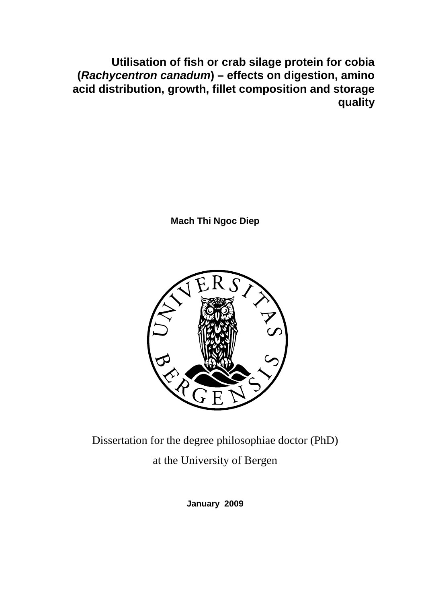**Utilisation of fish or crab silage protein for cobia (Rachycentron canadum) – effects on digestion, amino acid distribution, growth, fillet composition and storage quality** 

**Mach Thi Ngoc Diep**



Dissertation for the degree philosophiae doctor (PhD) at the University of Bergen

**January 2009**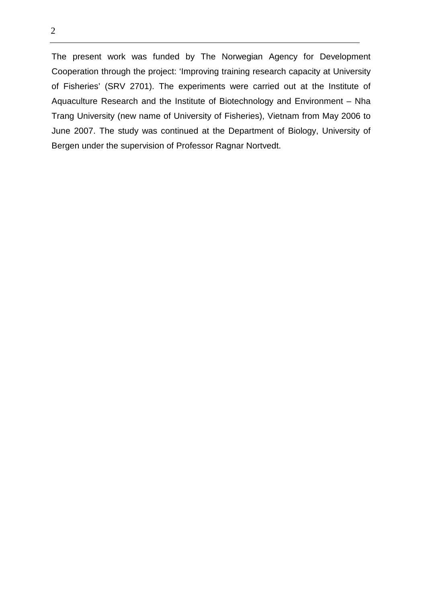2

The present work was funded by The Norwegian Agency for Development Cooperation through the project: 'Improving training research capacity at University of Fisheries' (SRV 2701). The experiments were carried out at the Institute of Aquaculture Research and the Institute of Biotechnology and Environment – Nha Trang University (new name of University of Fisheries), Vietnam from May 2006 to June 2007. The study was continued at the Department of Biology, University of Bergen under the supervision of Professor Ragnar Nortvedt.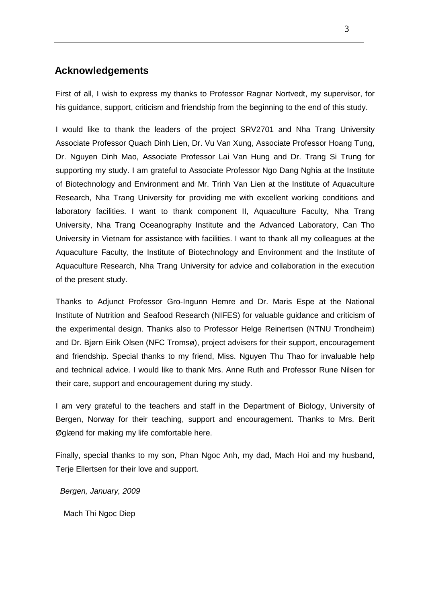# **Acknowledgements**

First of all, I wish to express my thanks to Professor Ragnar Nortvedt, my supervisor, for his guidance, support, criticism and friendship from the beginning to the end of this study.

I would like to thank the leaders of the project SRV2701 and Nha Trang University Associate Professor Quach Dinh Lien, Dr. Vu Van Xung, Associate Professor Hoang Tung, Dr. Nguyen Dinh Mao, Associate Professor Lai Van Hung and Dr. Trang Si Trung for supporting my study. I am grateful to Associate Professor Ngo Dang Nghia at the Institute of Biotechnology and Environment and Mr. Trinh Van Lien at the Institute of Aquaculture Research, Nha Trang University for providing me with excellent working conditions and laboratory facilities. I want to thank component II, Aquaculture Faculty, Nha Trang University, Nha Trang Oceanography Institute and the Advanced Laboratory, Can Tho University in Vietnam for assistance with facilities. I want to thank all my colleagues at the Aquaculture Faculty, the Institute of Biotechnology and Environment and the Institute of Aquaculture Research, Nha Trang University for advice and collaboration in the execution of the present study.

Thanks to Adjunct Professor Gro-Ingunn Hemre and Dr. Maris Espe at the National Institute of Nutrition and Seafood Research (NIFES) for valuable guidance and criticism of the experimental design. Thanks also to Professor Helge Reinertsen (NTNU Trondheim) and Dr. Bjørn Eirik Olsen (NFC Tromsø), project advisers for their support, encouragement and friendship. Special thanks to my friend, Miss. Nguyen Thu Thao for invaluable help and technical advice. I would like to thank Mrs. Anne Ruth and Professor Rune Nilsen for their care, support and encouragement during my study.

I am very grateful to the teachers and staff in the Department of Biology, University of Bergen, Norway for their teaching, support and encouragement. Thanks to Mrs. Berit Øglænd for making my life comfortable here.

Finally, special thanks to my son, Phan Ngoc Anh, my dad, Mach Hoi and my husband, Terje Ellertsen for their love and support.

Bergen, January, 2009

Mach Thi Ngoc Diep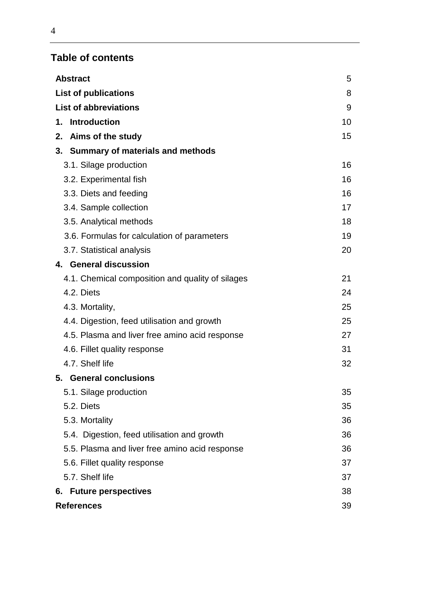# **Table of contents**

| <b>Abstract</b>                                  | 5  |
|--------------------------------------------------|----|
| <b>List of publications</b>                      | 8  |
| <b>List of abbreviations</b>                     | 9  |
| 1. Introduction                                  | 10 |
| 2. Aims of the study                             | 15 |
| 3. Summary of materials and methods              |    |
| 3.1. Silage production                           | 16 |
| 3.2. Experimental fish                           | 16 |
| 3.3. Diets and feeding                           | 16 |
| 3.4. Sample collection                           | 17 |
| 3.5. Analytical methods                          | 18 |
| 3.6. Formulas for calculation of parameters      | 19 |
| 3.7. Statistical analysis                        | 20 |
| 4. General discussion                            |    |
| 4.1. Chemical composition and quality of silages | 21 |
| 4.2. Diets                                       | 24 |
| 4.3. Mortality,                                  | 25 |
| 4.4. Digestion, feed utilisation and growth      | 25 |
| 4.5. Plasma and liver free amino acid response   | 27 |
| 4.6. Fillet quality response                     | 31 |
| 4.7. Shelf life                                  | 32 |
| 5. General conclusions                           |    |
| 5.1. Silage production                           | 35 |
| 5.2. Diets                                       | 35 |
| 5.3. Mortality                                   | 36 |
| 5.4. Digestion, feed utilisation and growth      | 36 |
| 5.5. Plasma and liver free amino acid response   | 36 |
| 5.6. Fillet quality response                     | 37 |
| 5.7. Shelf life                                  | 37 |
| 6. Future perspectives                           | 38 |
| <b>References</b>                                | 39 |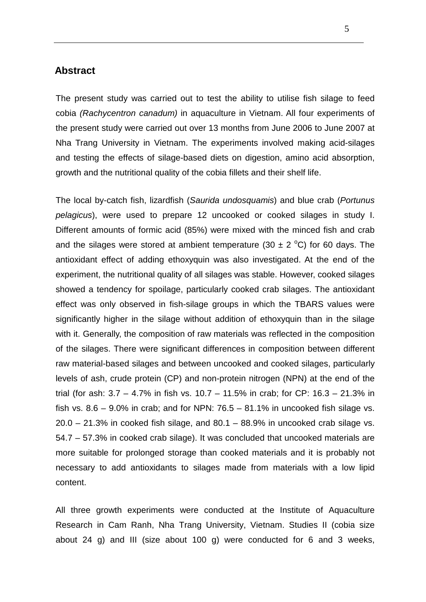## **Abstract**

The present study was carried out to test the ability to utilise fish silage to feed cobia (Rachycentron canadum) in aquaculture in Vietnam. All four experiments of the present study were carried out over 13 months from June 2006 to June 2007 at Nha Trang University in Vietnam. The experiments involved making acid-silages and testing the effects of silage-based diets on digestion, amino acid absorption, growth and the nutritional quality of the cobia fillets and their shelf life.

The local by-catch fish, lizardfish (Saurida undosquamis) and blue crab (Portunus pelagicus), were used to prepare 12 uncooked or cooked silages in study I. Different amounts of formic acid (85%) were mixed with the minced fish and crab and the silages were stored at ambient temperature (30  $\pm$  2 °C) for 60 days. The antioxidant effect of adding ethoxyquin was also investigated. At the end of the experiment, the nutritional quality of all silages was stable. However, cooked silages showed a tendency for spoilage, particularly cooked crab silages. The antioxidant effect was only observed in fish-silage groups in which the TBARS values were significantly higher in the silage without addition of ethoxyquin than in the silage with it. Generally, the composition of raw materials was reflected in the composition of the silages. There were significant differences in composition between different raw material-based silages and between uncooked and cooked silages, particularly levels of ash, crude protein (CP) and non-protein nitrogen (NPN) at the end of the trial (for ash: 3.7 – 4.7% in fish vs. 10.7 – 11.5% in crab; for CP: 16.3 – 21.3% in fish vs.  $8.6 - 9.0\%$  in crab; and for NPN:  $76.5 - 81.1\%$  in uncooked fish silage vs.  $20.0 - 21.3\%$  in cooked fish silage, and  $80.1 - 88.9\%$  in uncooked crab silage vs. 54.7 – 57.3% in cooked crab silage). It was concluded that uncooked materials are more suitable for prolonged storage than cooked materials and it is probably not necessary to add antioxidants to silages made from materials with a low lipid content.

All three growth experiments were conducted at the Institute of Aquaculture Research in Cam Ranh, Nha Trang University, Vietnam. Studies II (cobia size about 24 g) and III (size about 100 g) were conducted for 6 and 3 weeks,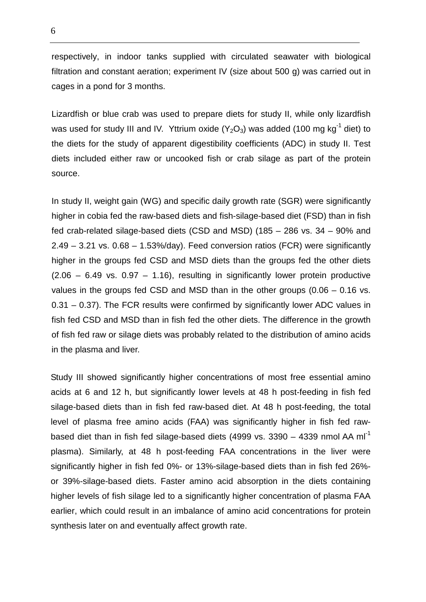respectively, in indoor tanks supplied with circulated seawater with biological filtration and constant aeration; experiment IV (size about 500 g) was carried out in cages in a pond for 3 months.

Lizardfish or blue crab was used to prepare diets for study II, while only lizardfish was used for study III and IV. Yttrium oxide  $(Y_2O_3)$  was added (100 mg kg<sup>-1</sup> diet) to the diets for the study of apparent digestibility coefficients (ADC) in study II. Test diets included either raw or uncooked fish or crab silage as part of the protein source.

In study II, weight gain (WG) and specific daily growth rate (SGR) were significantly higher in cobia fed the raw-based diets and fish-silage-based diet (FSD) than in fish fed crab-related silage-based diets (CSD and MSD) (185 – 286 vs. 34 – 90% and 2.49 – 3.21 vs. 0.68 – 1.53%/day). Feed conversion ratios (FCR) were significantly higher in the groups fed CSD and MSD diets than the groups fed the other diets  $(2.06 - 6.49 \text{ vs. } 0.97 - 1.16)$ , resulting in significantly lower protein productive values in the groups fed CSD and MSD than in the other groups (0.06 – 0.16 vs. 0.31 – 0.37). The FCR results were confirmed by significantly lower ADC values in fish fed CSD and MSD than in fish fed the other diets. The difference in the growth of fish fed raw or silage diets was probably related to the distribution of amino acids in the plasma and liver.

Study III showed significantly higher concentrations of most free essential amino acids at 6 and 12 h, but significantly lower levels at 48 h post-feeding in fish fed silage-based diets than in fish fed raw-based diet. At 48 h post-feeding, the total level of plasma free amino acids (FAA) was significantly higher in fish fed rawbased diet than in fish fed silage-based diets (4999 vs. 3390 – 4339 nmol AA ml<sup>-1</sup> plasma). Similarly, at 48 h post-feeding FAA concentrations in the liver were significantly higher in fish fed 0%- or 13%-silage-based diets than in fish fed 26% or 39%-silage-based diets. Faster amino acid absorption in the diets containing higher levels of fish silage led to a significantly higher concentration of plasma FAA earlier, which could result in an imbalance of amino acid concentrations for protein synthesis later on and eventually affect growth rate.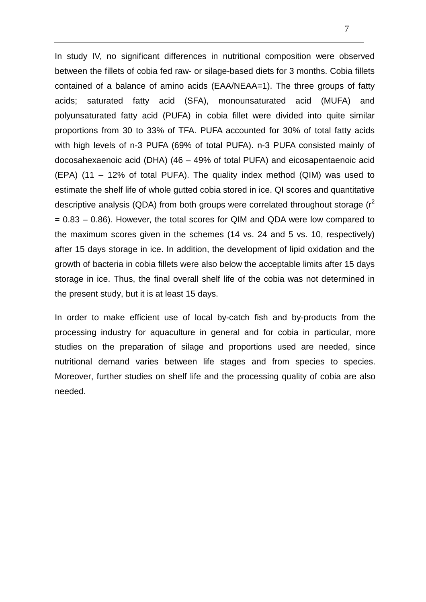In study IV, no significant differences in nutritional composition were observed between the fillets of cobia fed raw- or silage-based diets for 3 months. Cobia fillets contained of a balance of amino acids (EAA/NEAA=1). The three groups of fatty acids; saturated fatty acid (SFA), monounsaturated acid (MUFA) and polyunsaturated fatty acid (PUFA) in cobia fillet were divided into quite similar proportions from 30 to 33% of TFA. PUFA accounted for 30% of total fatty acids with high levels of n-3 PUFA (69% of total PUFA). n-3 PUFA consisted mainly of docosahexaenoic acid (DHA) (46 – 49% of total PUFA) and eicosapentaenoic acid (EPA) (11 – 12% of total PUFA). The quality index method (QIM) was used to estimate the shelf life of whole gutted cobia stored in ice. QI scores and quantitative descriptive analysis (QDA) from both groups were correlated throughout storage  $(r^2)$  $= 0.83 - 0.86$ ). However, the total scores for QIM and QDA were low compared to the maximum scores given in the schemes (14 vs. 24 and 5 vs. 10, respectively) after 15 days storage in ice. In addition, the development of lipid oxidation and the growth of bacteria in cobia fillets were also below the acceptable limits after 15 days storage in ice. Thus, the final overall shelf life of the cobia was not determined in the present study, but it is at least 15 days.

In order to make efficient use of local by-catch fish and by-products from the processing industry for aquaculture in general and for cobia in particular, more studies on the preparation of silage and proportions used are needed, since nutritional demand varies between life stages and from species to species. Moreover, further studies on shelf life and the processing quality of cobia are also needed.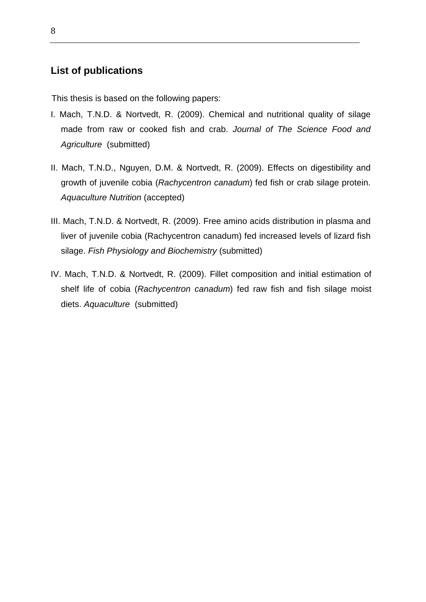# **List of publications**

This thesis is based on the following papers:

- I. Mach, T.N.D. & Nortvedt, R. (2009). Chemical and nutritional quality of silage made from raw or cooked fish and crab. Journal of The Science Food and Agriculture (submitted)
- II. Mach, T.N.D., Nguyen, D.M. & Nortvedt, R. (2009). Effects on digestibility and growth of juvenile cobia (Rachycentron canadum) fed fish or crab silage protein. Aquaculture Nutrition (accepted)
- III. Mach, T.N.D. & Nortvedt, R. (2009). Free amino acids distribution in plasma and liver of juvenile cobia (Rachycentron canadum) fed increased levels of lizard fish silage. Fish Physiology and Biochemistry (submitted)
- IV. Mach, T.N.D. & Nortvedt, R. (2009). Fillet composition and initial estimation of shelf life of cobia (Rachycentron canadum) fed raw fish and fish silage moist diets. Aquaculture (submitted)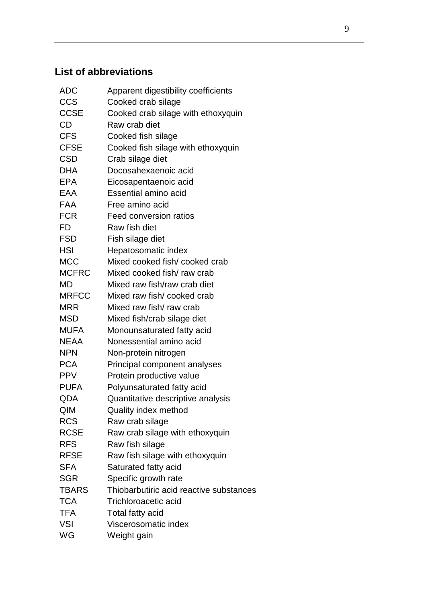# **List of abbreviations**

| <b>ADC</b>   | Apparent digestibility coefficients     |
|--------------|-----------------------------------------|
| <b>CCS</b>   | Cooked crab silage                      |
| <b>CCSE</b>  | Cooked crab silage with ethoxyquin      |
| <b>CD</b>    | Raw crab diet                           |
| <b>CFS</b>   | Cooked fish silage                      |
| <b>CFSE</b>  | Cooked fish silage with ethoxyquin      |
| <b>CSD</b>   | Crab silage diet                        |
| <b>DHA</b>   | Docosahexaenoic acid                    |
| EPA          | Eicosapentaenoic acid                   |
| EAA          | Essential amino acid                    |
| <b>FAA</b>   | Free amino acid                         |
| <b>FCR</b>   | Feed conversion ratios                  |
| FD           | Raw fish diet                           |
| <b>FSD</b>   | Fish silage diet                        |
| HSI          | Hepatosomatic index                     |
| <b>MCC</b>   | Mixed cooked fish/cooked crab           |
| <b>MCFRC</b> | Mixed cooked fish/ raw crab             |
| <b>MD</b>    | Mixed raw fish/raw crab diet            |
| <b>MRFCC</b> | Mixed raw fish/cooked crab              |
| <b>MRR</b>   | Mixed raw fish/ raw crab                |
| <b>MSD</b>   | Mixed fish/crab silage diet             |
| <b>MUFA</b>  | Monounsaturated fatty acid              |
| <b>NEAA</b>  | Nonessential amino acid                 |
| <b>NPN</b>   | Non-protein nitrogen                    |
| <b>PCA</b>   | Principal component analyses            |
| <b>PPV</b>   | Protein productive value                |
| <b>PUFA</b>  | Polyunsaturated fatty acid              |
| QDA          | Quantitative descriptive analysis       |
| QIM          | Quality index method                    |
| <b>RCS</b>   | Raw crab silage                         |
| <b>RCSE</b>  | Raw crab silage with ethoxyquin         |
| <b>RFS</b>   | Raw fish silage                         |
| <b>RFSE</b>  | Raw fish silage with ethoxyquin         |
| <b>SFA</b>   | Saturated fatty acid                    |
| <b>SGR</b>   | Specific growth rate                    |
| <b>TBARS</b> | Thiobarbutiric acid reactive substances |
| <b>TCA</b>   | Trichloroacetic acid                    |
| <b>TFA</b>   | Total fatty acid                        |
| <b>VSI</b>   | Viscerosomatic index                    |
| WG           | Weight gain                             |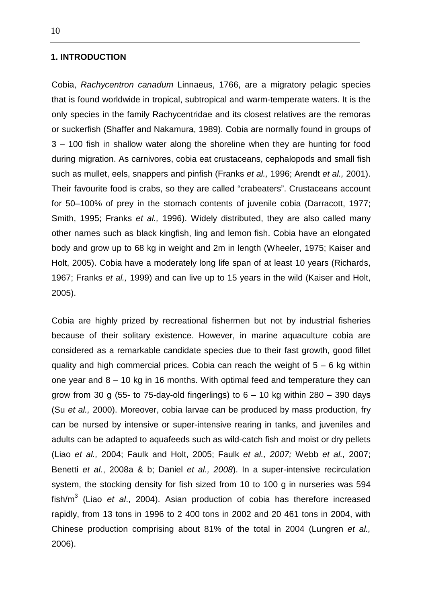#### **1. INTRODUCTION**

Cobia, Rachycentron canadum Linnaeus, 1766, are a migratory pelagic species that is found worldwide in tropical, subtropical and warm-temperate waters. It is the only species in the family Rachycentridae and its closest relatives are the remoras or suckerfish (Shaffer and Nakamura, 1989). Cobia are normally found in groups of 3 – 100 fish in shallow water along the shoreline when they are hunting for food during migration. As carnivores, cobia eat crustaceans, cephalopods and small fish such as mullet, eels, snappers and pinfish (Franks et al., 1996; Arendt et al., 2001). Their favourite food is crabs, so they are called "crabeaters". Crustaceans account for 50–100% of prey in the stomach contents of juvenile cobia (Darracott, 1977; Smith, 1995; Franks et al., 1996). Widely distributed, they are also called many other names such as black kingfish, ling and lemon fish. Cobia have an elongated body and grow up to 68 kg in weight and 2m in length (Wheeler, 1975; Kaiser and Holt, 2005). Cobia have a moderately long life span of at least 10 years (Richards, 1967; Franks et al., 1999) and can live up to 15 years in the wild (Kaiser and Holt, 2005).

Cobia are highly prized by recreational fishermen but not by industrial fisheries because of their solitary existence. However, in marine aquaculture cobia are considered as a remarkable candidate species due to their fast growth, good fillet quality and high commercial prices. Cobia can reach the weight of  $5 - 6$  kg within one year and 8 – 10 kg in 16 months. With optimal feed and temperature they can grow from 30 g (55- to 75-day-old fingerlings) to  $6 - 10$  kg within 280  $-$  390 days (Su et al., 2000). Moreover, cobia larvae can be produced by mass production, fry can be nursed by intensive or super-intensive rearing in tanks, and juveniles and adults can be adapted to aquafeeds such as wild-catch fish and moist or dry pellets (Liao et al., 2004; Faulk and Holt, 2005; Faulk et al., 2007; Webb et al., 2007; Benetti et al., 2008a & b; Daniel et al., 2008). In a super-intensive recirculation system, the stocking density for fish sized from 10 to 100 g in nurseries was 594 fish/m<sup>3</sup> (Liao et al., 2004). Asian production of cobia has therefore increased rapidly, from 13 tons in 1996 to 2 400 tons in 2002 and 20 461 tons in 2004, with Chinese production comprising about 81% of the total in 2004 (Lungren et al., 2006).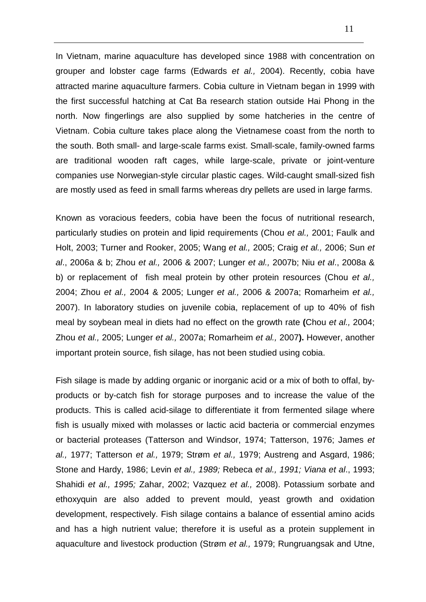In Vietnam, marine aquaculture has developed since 1988 with concentration on grouper and lobster cage farms (Edwards et al., 2004). Recently, cobia have attracted marine aquaculture farmers. Cobia culture in Vietnam began in 1999 with the first successful hatching at Cat Ba research station outside Hai Phong in the north. Now fingerlings are also supplied by some hatcheries in the centre of Vietnam. Cobia culture takes place along the Vietnamese coast from the north to the south. Both small- and large-scale farms exist. Small-scale, family-owned farms are traditional wooden raft cages, while large-scale, private or joint-venture companies use Norwegian-style circular plastic cages. Wild-caught small-sized fish are mostly used as feed in small farms whereas dry pellets are used in large farms.

Known as voracious feeders, cobia have been the focus of nutritional research, particularly studies on protein and lipid requirements (Chou et al., 2001; Faulk and Holt, 2003; Turner and Rooker, 2005; Wang et al., 2005; Craig et al., 2006; Sun et al., 2006a & b; Zhou et al., 2006 & 2007; Lunger et al., 2007b; Niu et al., 2008a & b) or replacement of fish meal protein by other protein resources (Chou et al., 2004; Zhou et al., 2004 & 2005; Lunger et al., 2006 & 2007a; Romarheim et al., 2007). In laboratory studies on juvenile cobia, replacement of up to 40% of fish meal by soybean meal in diets had no effect on the growth rate **(**Chou et al., 2004; Zhou et al., 2005; Lunger et al., 2007a; Romarheim et al., 2007**).** However, another important protein source, fish silage, has not been studied using cobia.

Fish silage is made by adding organic or inorganic acid or a mix of both to offal, byproducts or by-catch fish for storage purposes and to increase the value of the products. This is called acid-silage to differentiate it from fermented silage where fish is usually mixed with molasses or lactic acid bacteria or commercial enzymes or bacterial proteases (Tatterson and Windsor, 1974; Tatterson, 1976; James et al., 1977; Tatterson et al., 1979; Strøm et al., 1979; Austreng and Asgard, 1986; Stone and Hardy, 1986; Levin et al., 1989; Rebeca et al., 1991; Viana et al., 1993; Shahidi et al., 1995; Zahar, 2002; Vazquez et al., 2008). Potassium sorbate and ethoxyquin are also added to prevent mould, yeast growth and oxidation development, respectively. Fish silage contains a balance of essential amino acids and has a high nutrient value; therefore it is useful as a protein supplement in aquaculture and livestock production (Strøm et al., 1979; Rungruangsak and Utne,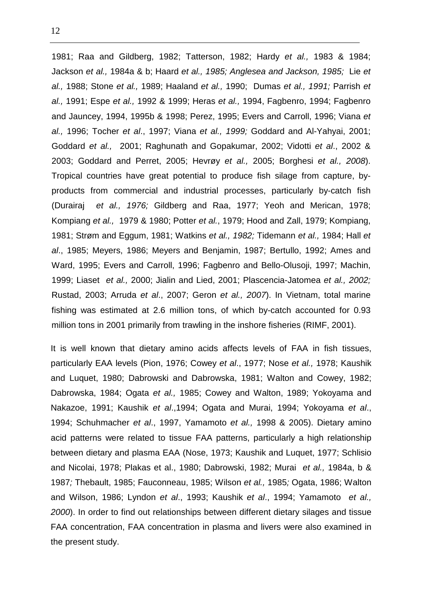1981; Raa and Gildberg, 1982; Tatterson, 1982; Hardy et al., 1983 & 1984; Jackson et al., 1984a & b; Haard et al., 1985; Anglesea and Jackson, 1985; Lie et al., 1988; Stone et al., 1989; Haaland et al., 1990; Dumas et al., 1991; Parrish et al., 1991; Espe et al., 1992 & 1999; Heras et al., 1994, Fagbenro, 1994; Fagbenro and Jauncey, 1994, 1995b & 1998; Perez, 1995; Evers and Carroll, 1996; Viana et al., 1996; Tocher et al., 1997; Viana et al., 1999; Goddard and Al-Yahyai, 2001; Goddard et al., 2001; Raghunath and Gopakumar, 2002; Vidotti et al., 2002 & 2003; Goddard and Perret, 2005; Hevrøy et al., 2005; Borghesi et al., 2008). Tropical countries have great potential to produce fish silage from capture, byproducts from commercial and industrial processes, particularly by-catch fish (Durairaj et al., 1976; Gildberg and Raa, 1977; Yeoh and Merican, 1978; Kompiang et al., 1979 & 1980; Potter et al., 1979; Hood and Zall, 1979; Kompiang, 1981; Strøm and Eggum, 1981; Watkins et al., 1982; Tidemann et al., 1984; Hall et al., 1985; Meyers, 1986; Meyers and Benjamin, 1987; Bertullo, 1992; Ames and Ward, 1995; Evers and Carroll, 1996; Fagbenro and Bello-Olusoji, 1997; Machin, 1999; Liaset et al., 2000; Jialin and Lied, 2001; Plascencia-Jatomea et al., 2002; Rustad, 2003; Arruda et al., 2007; Geron et al., 2007). In Vietnam, total marine fishing was estimated at 2.6 million tons, of which by-catch accounted for 0.93 million tons in 2001 primarily from trawling in the inshore fisheries (RIMF, 2001).

It is well known that dietary amino acids affects levels of FAA in fish tissues, particularly EAA levels (Pion, 1976; Cowey et al., 1977; Nose et al., 1978; Kaushik and Luquet, 1980; Dabrowski and Dabrowska, 1981; Walton and Cowey, 1982; Dabrowska, 1984; Ogata et al., 1985; Cowey and Walton, 1989; Yokoyama and Nakazoe, 1991; Kaushik et al., 1994; Ogata and Murai, 1994; Yokoyama et al., 1994; Schuhmacher et al., 1997, Yamamoto et al., 1998 & 2005). Dietary amino acid patterns were related to tissue FAA patterns, particularly a high relationship between dietary and plasma EAA (Nose, 1973; Kaushik and Luquet, 1977; Schlisio and Nicolai, 1978; Plakas et al., 1980; Dabrowski, 1982; Murai et al., 1984a, b & 1987; Thebault, 1985; Fauconneau, 1985; Wilson et al., 1985; Ogata, 1986; Walton and Wilson, 1986; Lyndon et al., 1993; Kaushik et al., 1994; Yamamoto et al., 2000). In order to find out relationships between different dietary silages and tissue FAA concentration, FAA concentration in plasma and livers were also examined in the present study.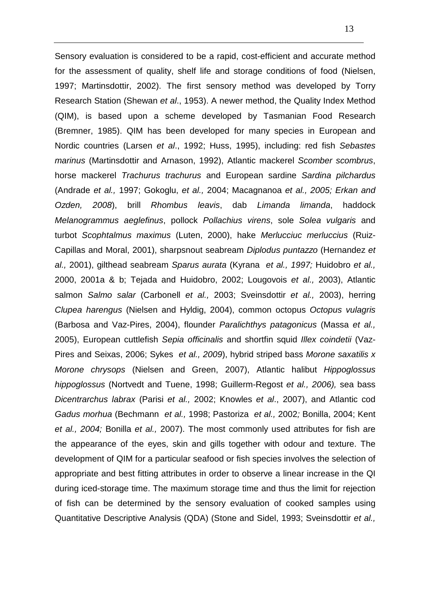Sensory evaluation is considered to be a rapid, cost-efficient and accurate method for the assessment of quality, shelf life and storage conditions of food (Nielsen, 1997; Martinsdottir, 2002). The first sensory method was developed by Torry Research Station (Shewan et al., 1953). A newer method, the Quality Index Method (QIM), is based upon a scheme developed by Tasmanian Food Research (Bremner, 1985). QIM has been developed for many species in European and Nordic countries (Larsen et al., 1992; Huss, 1995), including: red fish Sebastes marinus (Martinsdottir and Arnason, 1992), Atlantic mackerel Scomber scombrus, horse mackerel Trachurus trachurus and European sardine Sardina pilchardus (Andrade et al., 1997; Gokoglu, et al., 2004; Macagnanoa et al., 2005; Erkan and Ozden, 2008), brill Rhombus leavis, dab Limanda limanda, haddock Melanogrammus aeglefinus, pollock Pollachius virens, sole Solea vulgaris and turbot Scophtalmus maximus (Luten, 2000), hake Merlucciuc merluccius (Ruiz-Capillas and Moral, 2001), sharpsnout seabream Diplodus puntazzo (Hernandez et al., 2001), gilthead seabream Sparus aurata (Kyrana et al., 1997; Huidobro et al., 2000, 2001a & b; Tejada and Huidobro, 2002; Lougovois et al., 2003), Atlantic salmon Salmo salar (Carbonell et al., 2003; Sveinsdottir et al., 2003), herring Clupea harengus (Nielsen and Hyldig, 2004), common octopus Octopus vulagris (Barbosa and Vaz-Pires, 2004), flounder Paralichthys patagonicus (Massa et al., 2005), European cuttlefish Sepia officinalis and shortfin squid Illex coindetii (Vaz-Pires and Seixas, 2006; Sykes et al., 2009), hybrid striped bass Morone saxatilis x Morone chrysops (Nielsen and Green, 2007), Atlantic halibut Hippoglossus hippoglossus (Nortvedt and Tuene, 1998; Guillerm-Regost et al., 2006), sea bass Dicentrarchus labrax (Parisi et al., 2002; Knowles et al., 2007), and Atlantic cod Gadus morhua (Bechmann et al., 1998; Pastoriza et al., 2002; Bonilla, 2004; Kent et al., 2004; Bonilla et al., 2007). The most commonly used attributes for fish are the appearance of the eyes, skin and gills together with odour and texture. The development of QIM for a particular seafood or fish species involves the selection of appropriate and best fitting attributes in order to observe a linear increase in the QI during iced-storage time. The maximum storage time and thus the limit for rejection of fish can be determined by the sensory evaluation of cooked samples using Quantitative Descriptive Analysis (QDA) (Stone and Sidel, 1993; Sveinsdottir et al.,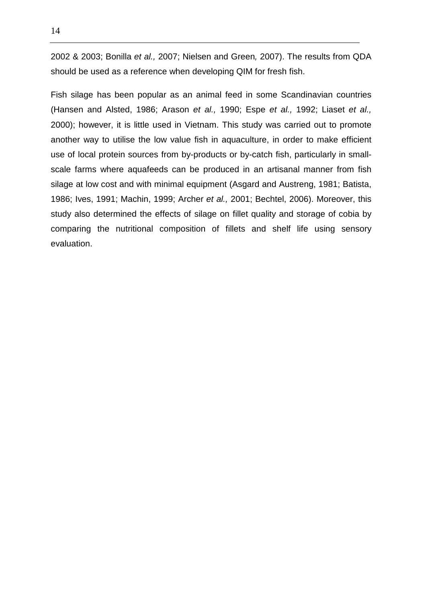2002 & 2003; Bonilla et al., 2007; Nielsen and Green, 2007). The results from QDA should be used as a reference when developing QIM for fresh fish.

Fish silage has been popular as an animal feed in some Scandinavian countries (Hansen and Alsted, 1986; Arason et al., 1990; Espe et al., 1992; Liaset et al., 2000); however, it is little used in Vietnam. This study was carried out to promote another way to utilise the low value fish in aquaculture, in order to make efficient use of local protein sources from by-products or by-catch fish, particularly in smallscale farms where aquafeeds can be produced in an artisanal manner from fish silage at low cost and with minimal equipment (Asgard and Austreng, 1981; Batista, 1986; Ives, 1991; Machin, 1999; Archer et al., 2001; Bechtel, 2006). Moreover, this study also determined the effects of silage on fillet quality and storage of cobia by comparing the nutritional composition of fillets and shelf life using sensory evaluation.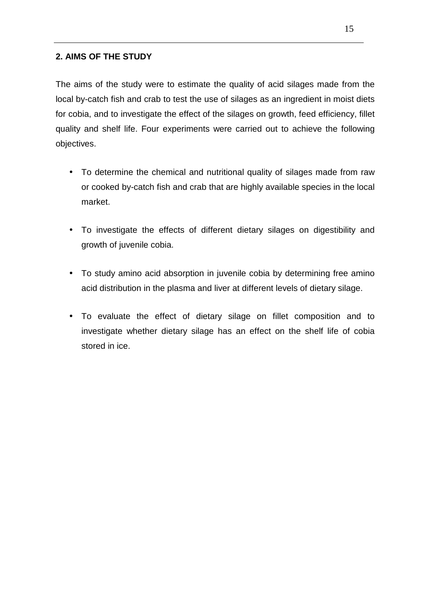# **2. AIMS OF THE STUDY**

The aims of the study were to estimate the quality of acid silages made from the local by-catch fish and crab to test the use of silages as an ingredient in moist diets for cobia, and to investigate the effect of the silages on growth, feed efficiency, fillet quality and shelf life. Four experiments were carried out to achieve the following objectives.

- To determine the chemical and nutritional quality of silages made from raw or cooked by-catch fish and crab that are highly available species in the local market.
- To investigate the effects of different dietary silages on digestibility and growth of juvenile cobia.
- To study amino acid absorption in juvenile cobia by determining free amino acid distribution in the plasma and liver at different levels of dietary silage.
- To evaluate the effect of dietary silage on fillet composition and to investigate whether dietary silage has an effect on the shelf life of cobia stored in ice.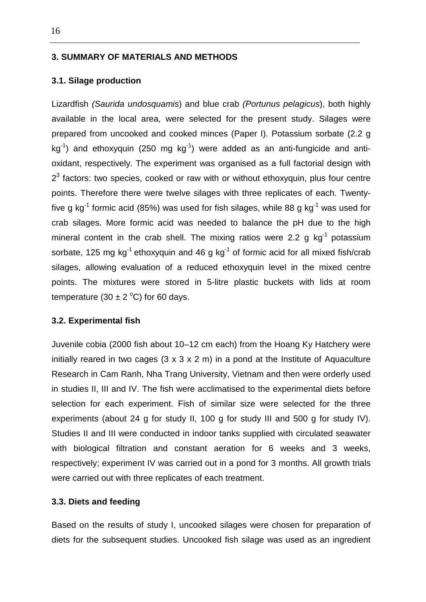### **3. SUMMARY OF MATERIALS AND METHODS**

#### **3.1. Silage production**

Lizardfish (Saurida undosquamis) and blue crab (Portunus pelagicus), both highly available in the local area, were selected for the present study. Silages were prepared from uncooked and cooked minces (Paper I). Potassium sorbate (2.2 g  $kg^{-1}$ ) and ethoxyquin (250 mg  $kg^{-1}$ ) were added as an anti-fungicide and antioxidant, respectively. The experiment was organised as a full factorial design with  $2<sup>3</sup>$  factors: two species, cooked or raw with or without ethoxyquin, plus four centre points. Therefore there were twelve silages with three replicates of each. Twentyfive g kg<sup>-1</sup> formic acid (85%) was used for fish silages, while 88 g kg<sup>-1</sup> was used for crab silages. More formic acid was needed to balance the pH due to the high mineral content in the crab shell. The mixing ratios were 2.2  $\alpha$  kg<sup>-1</sup> potassium sorbate, 125 mg kg<sup>-1</sup> ethoxyquin and 46 g kg<sup>-1</sup> of formic acid for all mixed fish/crab silages, allowing evaluation of a reduced ethoxyquin level in the mixed centre points. The mixtures were stored in 5-litre plastic buckets with lids at room temperature (30  $\pm$  2 °C) for 60 days.

#### **3.2. Experimental fish**

Juvenile cobia (2000 fish about 10–12 cm each) from the Hoang Ky Hatchery were initially reared in two cages  $(3 \times 3 \times 2 \text{ m})$  in a pond at the Institute of Aquaculture Research in Cam Ranh, Nha Trang University, Vietnam and then were orderly used in studies II, III and IV. The fish were acclimatised to the experimental diets before selection for each experiment. Fish of similar size were selected for the three experiments (about 24 g for study II, 100 g for study III and 500 g for study IV). Studies II and III were conducted in indoor tanks supplied with circulated seawater with biological filtration and constant aeration for 6 weeks and 3 weeks, respectively; experiment IV was carried out in a pond for 3 months. All growth trials were carried out with three replicates of each treatment.

### **3.3. Diets and feeding**

Based on the results of study I, uncooked silages were chosen for preparation of diets for the subsequent studies. Uncooked fish silage was used as an ingredient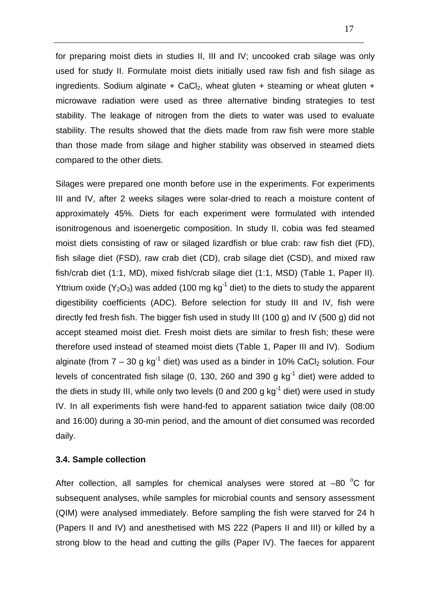for preparing moist diets in studies II, III and IV; uncooked crab silage was only used for study II. Formulate moist diets initially used raw fish and fish silage as ingredients. Sodium alginate + CaCl<sub>2</sub>, wheat gluten + steaming or wheat gluten + microwave radiation were used as three alternative binding strategies to test stability. The leakage of nitrogen from the diets to water was used to evaluate stability. The results showed that the diets made from raw fish were more stable than those made from silage and higher stability was observed in steamed diets compared to the other diets.

Silages were prepared one month before use in the experiments. For experiments III and IV, after 2 weeks silages were solar-dried to reach a moisture content of approximately 45%. Diets for each experiment were formulated with intended isonitrogenous and isoenergetic composition. In study II, cobia was fed steamed moist diets consisting of raw or silaged lizardfish or blue crab: raw fish diet (FD), fish silage diet (FSD), raw crab diet (CD), crab silage diet (CSD), and mixed raw fish/crab diet (1:1, MD), mixed fish/crab silage diet (1:1, MSD) (Table 1, Paper II). Yttrium oxide ( $Y_2O_3$ ) was added (100 mg kg<sup>-1</sup> diet) to the diets to study the apparent digestibility coefficients (ADC). Before selection for study III and IV, fish were directly fed fresh fish. The bigger fish used in study III (100 g) and IV (500 g) did not accept steamed moist diet. Fresh moist diets are similar to fresh fish; these were therefore used instead of steamed moist diets (Table 1, Paper III and IV). Sodium alginate (from  $7 - 30$  g kg<sup>-1</sup> diet) was used as a binder in 10% CaCl<sub>2</sub> solution. Four levels of concentrated fish silage (0, 130, 260 and 390 g  $kg^{-1}$  diet) were added to the diets in study III, while only two levels (0 and 200 g  $kq^{-1}$  diet) were used in study IV. In all experiments fish were hand-fed to apparent satiation twice daily (08:00 and 16:00) during a 30-min period, and the amount of diet consumed was recorded daily.

## **3.4. Sample collection**

After collection, all samples for chemical analyses were stored at  $-80\ ^{\circ}C$  for subsequent analyses, while samples for microbial counts and sensory assessment (QIM) were analysed immediately. Before sampling the fish were starved for 24 h (Papers II and IV) and anesthetised with MS 222 (Papers II and III) or killed by a strong blow to the head and cutting the gills (Paper IV). The faeces for apparent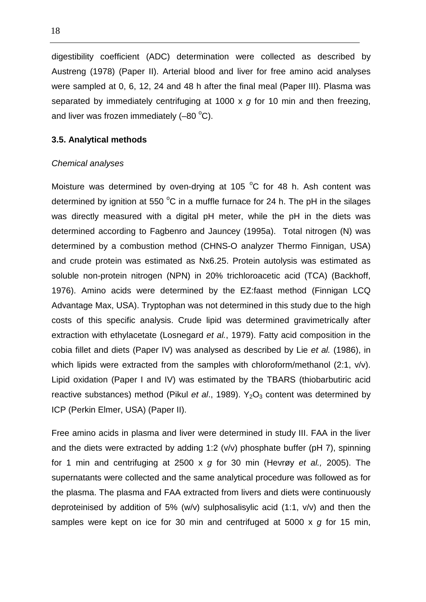digestibility coefficient (ADC) determination were collected as described by Austreng (1978) (Paper II). Arterial blood and liver for free amino acid analyses were sampled at 0, 6, 12, 24 and 48 h after the final meal (Paper III). Plasma was separated by immediately centrifuging at 1000  $\times$  g for 10 min and then freezing, and liver was frozen immediately  $(-80 \degree C)$ .

## **3.5. Analytical methods**

#### Chemical analyses

Moisture was determined by oven-drying at 105  $^{\circ}$ C for 48 h. Ash content was determined by ignition at 550  $^{\circ}$ C in a muffle furnace for 24 h. The pH in the silages was directly measured with a digital pH meter, while the pH in the diets was determined according to Fagbenro and Jauncey (1995a). Total nitrogen (N) was determined by a combustion method (CHNS-O analyzer Thermo Finnigan, USA) and crude protein was estimated as Nx6.25. Protein autolysis was estimated as soluble non-protein nitrogen (NPN) in 20% trichloroacetic acid (TCA) (Backhoff, 1976). Amino acids were determined by the EZ:faast method (Finnigan LCQ Advantage Max, USA). Tryptophan was not determined in this study due to the high costs of this specific analysis. Crude lipid was determined gravimetrically after extraction with ethylacetate (Losnegard et al., 1979). Fatty acid composition in the cobia fillet and diets (Paper IV) was analysed as described by Lie et al. (1986), in which lipids were extracted from the samples with chloroform/methanol (2:1, v/v). Lipid oxidation (Paper I and IV) was estimated by the TBARS (thiobarbutiric acid reactive substances) method (Pikul et al., 1989).  $Y_2O_3$  content was determined by ICP (Perkin Elmer, USA) (Paper II).

Free amino acids in plasma and liver were determined in study III. FAA in the liver and the diets were extracted by adding 1:2 (v/v) phosphate buffer (pH 7), spinning for 1 min and centrifuging at 2500 x  $q$  for 30 min (Hevrøy et al., 2005). The supernatants were collected and the same analytical procedure was followed as for the plasma. The plasma and FAA extracted from livers and diets were continuously deproteinised by addition of 5% (w/v) sulphosalisylic acid  $(1:1, v/v)$  and then the samples were kept on ice for 30 min and centrifuged at 5000 x q for 15 min,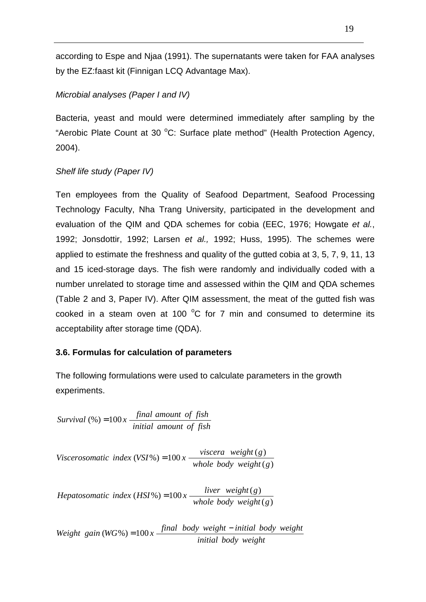according to Espe and Njaa (1991). The supernatants were taken for FAA analyses by the EZ:faast kit (Finnigan LCQ Advantage Max).

# Microbial analyses (Paper I and IV)

Bacteria, yeast and mould were determined immediately after sampling by the "Aerobic Plate Count at 30  $^{\circ}$ C: Surface plate method" (Health Protection Agency, 2004).

# Shelf life study (Paper IV)

Ten employees from the Quality of Seafood Department, Seafood Processing Technology Faculty, Nha Trang University, participated in the development and evaluation of the QIM and QDA schemes for cobia (EEC, 1976; Howgate et al., 1992; Jonsdottir, 1992; Larsen et al., 1992; Huss, 1995). The schemes were applied to estimate the freshness and quality of the gutted cobia at 3, 5, 7, 9, 11, 13 and 15 iced-storage days. The fish were randomly and individually coded with a number unrelated to storage time and assessed within the QIM and QDA schemes (Table 2 and 3, Paper IV). After QIM assessment, the meat of the gutted fish was cooked in a steam oven at 100  $^{\circ}$ C for 7 min and consumed to determine its acceptability after storage time (QDA).

## **3.6. Formulas for calculation of parameters**

The following formulations were used to calculate parameters in the growth experiments.

*initial amount of fish final amount of fish*  $Survival(%) = 100x - \frac{final \text{ amount of fish}}{100}$ 

( ) *whole body weight g*  $Viscerosomatic$   $index (VSI\%) = 100x$   $\frac{viscera}{\sqrt{1 + \frac{1}{n}} \cdot \frac{1}{n}}$ 

 $(g)$  $(HSI\%) = 100x \frac{liver\ weight(g)}{l}$ *whole body weight g*  $Hepatosomatic$   $index (HSI%) = 100x$   $\frac{liver$   $weight(g)}{l}$ 

*initial body weight Weight gain*  $(WG\%) = 100x$  *final body weight*  $-i$  *initial body weight*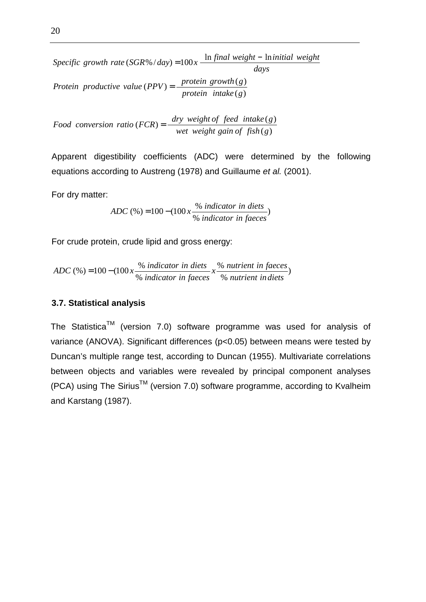*days Specific* growth rate  $(SGR\% / day) = 100x - \frac{\ln final weight - \ln initial weight}{\ln M}$  $(g)$  $(PPV) = \frac{protein\ growth(g)}{I}$ *protein intake g Protein productive value*  $(PPV) = \frac{protein\ growth(g)}{1 + k\epsilon}$ 

 $(g)$  $(FCR) = \frac{dry \ weight \ of \ feed \ intake(g)}{1 + 1}$ *wet weight gain of fish g dry weight* of *feed intake*(*g*)  $f$  *<i>feod conversion ratio (FCR)* =  $\frac{dr}{dr}$  *interioral fg i fg i fg jg ii jg fg ii jg fg ii jg fg ii jg fg ii jg fg ii jg fg* 

Apparent digestibility coefficients (ADC) were determined by the following equations according to Austreng (1978) and Guillaume et al. (2001).

For dry matter:

) %  $(\%)=100-(100x\frac{\%}{\%})$ *indicator in faeces*  $ADC$  (%) = 100 – (100  $x \frac{\% \text{ indicator in diets}}{x}$ 

For crude protein, crude lipid and gross energy:

ADC (%) = 
$$
100 - (100 \times \frac{\frac{96}{100}}{\frac{96}{1000}} \frac{\text{indication in diets}}{\text{of } \frac{166}{100}} \times \frac{\frac{96}{100}}{\frac{96}{100}} \frac{\text{nutrient in facets}}{\text{of } \frac{166}{100}})
$$

#### **3.7. Statistical analysis**

The Statistica<sup>TM</sup> (version 7.0) software programme was used for analysis of variance (ANOVA). Significant differences (p<0.05) between means were tested by Duncan's multiple range test, according to Duncan (1955). Multivariate correlations between objects and variables were revealed by principal component analyses  $(PCA)$  using The Sirius<sup>TM</sup> (version 7.0) software programme, according to Kvalheim and Karstang (1987).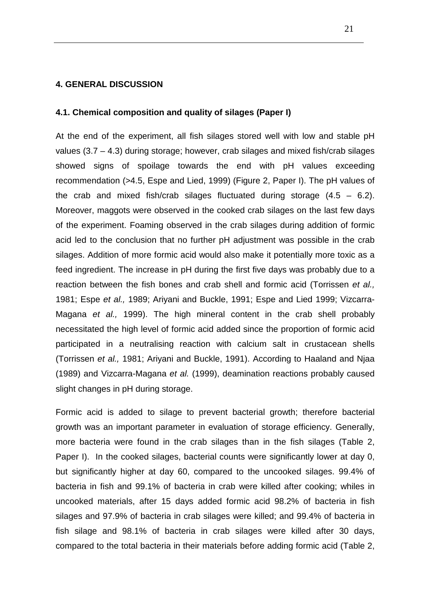## **4. GENERAL DISCUSSION**

#### **4.1. Chemical composition and quality of silages (Paper I)**

At the end of the experiment, all fish silages stored well with low and stable pH values (3.7 – 4.3) during storage; however, crab silages and mixed fish/crab silages showed signs of spoilage towards the end with pH values exceeding recommendation (>4.5, Espe and Lied, 1999) (Figure 2, Paper I). The pH values of the crab and mixed fish/crab silages fluctuated during storage  $(4.5 - 6.2)$ . Moreover, maggots were observed in the cooked crab silages on the last few days of the experiment. Foaming observed in the crab silages during addition of formic acid led to the conclusion that no further pH adjustment was possible in the crab silages. Addition of more formic acid would also make it potentially more toxic as a feed ingredient. The increase in pH during the first five days was probably due to a reaction between the fish bones and crab shell and formic acid (Torrissen et al., 1981; Espe et al., 1989; Ariyani and Buckle, 1991; Espe and Lied 1999; Vizcarra-Magana et al., 1999). The high mineral content in the crab shell probably necessitated the high level of formic acid added since the proportion of formic acid participated in a neutralising reaction with calcium salt in crustacean shells (Torrissen et al., 1981; Ariyani and Buckle, 1991). According to Haaland and Njaa (1989) and Vizcarra-Magana et al. (1999), deamination reactions probably caused slight changes in pH during storage.

Formic acid is added to silage to prevent bacterial growth; therefore bacterial growth was an important parameter in evaluation of storage efficiency. Generally, more bacteria were found in the crab silages than in the fish silages (Table 2, Paper I). In the cooked silages, bacterial counts were significantly lower at day 0, but significantly higher at day 60, compared to the uncooked silages. 99.4% of bacteria in fish and 99.1% of bacteria in crab were killed after cooking; whiles in uncooked materials, after 15 days added formic acid 98.2% of bacteria in fish silages and 97.9% of bacteria in crab silages were killed; and 99.4% of bacteria in fish silage and 98.1% of bacteria in crab silages were killed after 30 days, compared to the total bacteria in their materials before adding formic acid (Table 2,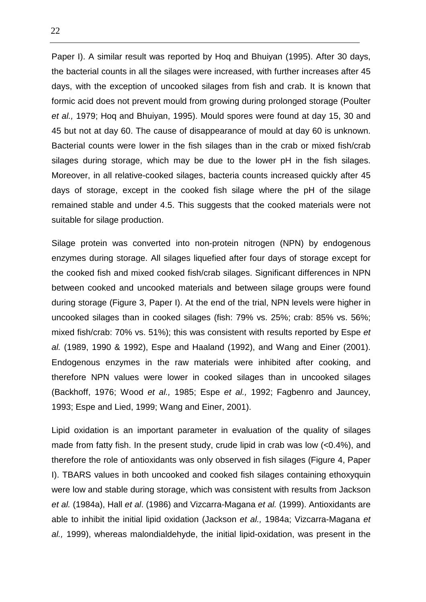Paper I). A similar result was reported by Hoq and Bhuiyan (1995). After 30 days, the bacterial counts in all the silages were increased, with further increases after 45 days, with the exception of uncooked silages from fish and crab. It is known that formic acid does not prevent mould from growing during prolonged storage (Poulter et al., 1979; Hoq and Bhuiyan, 1995). Mould spores were found at day 15, 30 and 45 but not at day 60. The cause of disappearance of mould at day 60 is unknown. Bacterial counts were lower in the fish silages than in the crab or mixed fish/crab silages during storage, which may be due to the lower pH in the fish silages. Moreover, in all relative-cooked silages, bacteria counts increased quickly after 45 days of storage, except in the cooked fish silage where the pH of the silage remained stable and under 4.5. This suggests that the cooked materials were not suitable for silage production.

Silage protein was converted into non-protein nitrogen (NPN) by endogenous enzymes during storage. All silages liquefied after four days of storage except for the cooked fish and mixed cooked fish/crab silages. Significant differences in NPN between cooked and uncooked materials and between silage groups were found during storage (Figure 3, Paper I). At the end of the trial, NPN levels were higher in uncooked silages than in cooked silages (fish: 79% vs. 25%; crab: 85% vs. 56%; mixed fish/crab: 70% vs. 51%); this was consistent with results reported by Espe et al. (1989, 1990 & 1992), Espe and Haaland (1992), and Wang and Einer (2001). Endogenous enzymes in the raw materials were inhibited after cooking, and therefore NPN values were lower in cooked silages than in uncooked silages (Backhoff, 1976; Wood et al., 1985; Espe et al., 1992; Fagbenro and Jauncey, 1993; Espe and Lied, 1999; Wang and Einer, 2001).

Lipid oxidation is an important parameter in evaluation of the quality of silages made from fatty fish. In the present study, crude lipid in crab was low (<0.4%), and therefore the role of antioxidants was only observed in fish silages (Figure 4, Paper I). TBARS values in both uncooked and cooked fish silages containing ethoxyquin were low and stable during storage, which was consistent with results from Jackson et al. (1984a), Hall et al. (1986) and Vizcarra-Magana et al. (1999). Antioxidants are able to inhibit the initial lipid oxidation (Jackson et al., 1984a; Vizcarra-Magana et al., 1999), whereas malondialdehyde, the initial lipid-oxidation, was present in the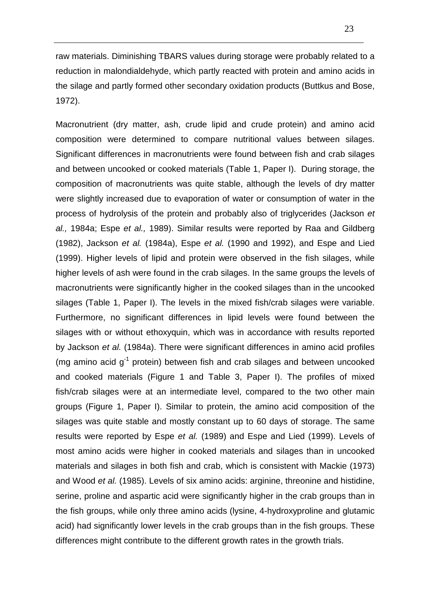raw materials. Diminishing TBARS values during storage were probably related to a reduction in malondialdehyde, which partly reacted with protein and amino acids in the silage and partly formed other secondary oxidation products (Buttkus and Bose, 1972).

Macronutrient (dry matter, ash, crude lipid and crude protein) and amino acid composition were determined to compare nutritional values between silages. Significant differences in macronutrients were found between fish and crab silages and between uncooked or cooked materials (Table 1, Paper I). During storage, the composition of macronutrients was quite stable, although the levels of dry matter were slightly increased due to evaporation of water or consumption of water in the process of hydrolysis of the protein and probably also of triglycerides (Jackson et al., 1984a; Espe et al., 1989). Similar results were reported by Raa and Gildberg (1982), Jackson et al. (1984a), Espe et al. (1990 and 1992), and Espe and Lied (1999). Higher levels of lipid and protein were observed in the fish silages, while higher levels of ash were found in the crab silages. In the same groups the levels of macronutrients were significantly higher in the cooked silages than in the uncooked silages (Table 1, Paper I). The levels in the mixed fish/crab silages were variable. Furthermore, no significant differences in lipid levels were found between the silages with or without ethoxyquin, which was in accordance with results reported by Jackson et al. (1984a). There were significant differences in amino acid profiles (mg amino acid  $g^{-1}$  protein) between fish and crab silages and between uncooked and cooked materials (Figure 1 and Table 3, Paper I). The profiles of mixed fish/crab silages were at an intermediate level, compared to the two other main groups (Figure 1, Paper I). Similar to protein, the amino acid composition of the silages was quite stable and mostly constant up to 60 days of storage. The same results were reported by Espe et al. (1989) and Espe and Lied (1999). Levels of most amino acids were higher in cooked materials and silages than in uncooked materials and silages in both fish and crab, which is consistent with Mackie (1973) and Wood et al. (1985). Levels of six amino acids: arginine, threonine and histidine, serine, proline and aspartic acid were significantly higher in the crab groups than in the fish groups, while only three amino acids (lysine, 4-hydroxyproline and glutamic acid) had significantly lower levels in the crab groups than in the fish groups. These differences might contribute to the different growth rates in the growth trials.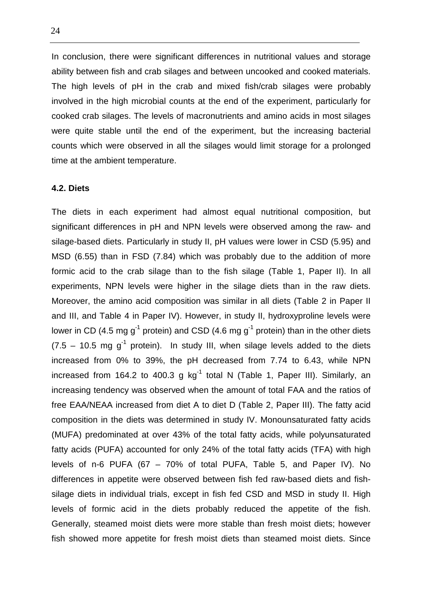In conclusion, there were significant differences in nutritional values and storage ability between fish and crab silages and between uncooked and cooked materials. The high levels of pH in the crab and mixed fish/crab silages were probably involved in the high microbial counts at the end of the experiment, particularly for cooked crab silages. The levels of macronutrients and amino acids in most silages were quite stable until the end of the experiment, but the increasing bacterial counts which were observed in all the silages would limit storage for a prolonged time at the ambient temperature.

### **4.2. Diets**

The diets in each experiment had almost equal nutritional composition, but significant differences in pH and NPN levels were observed among the raw- and silage-based diets. Particularly in study II, pH values were lower in CSD (5.95) and MSD (6.55) than in FSD (7.84) which was probably due to the addition of more formic acid to the crab silage than to the fish silage (Table 1, Paper II). In all experiments, NPN levels were higher in the silage diets than in the raw diets. Moreover, the amino acid composition was similar in all diets (Table 2 in Paper II and III, and Table 4 in Paper IV). However, in study II, hydroxyproline levels were lower in CD (4.5 mg  $q^{-1}$  protein) and CSD (4.6 mg  $q^{-1}$  protein) than in the other diets  $(7.5 - 10.5 \text{ mg g}^1 \text{ protein})$ . In study III, when silage levels added to the diets increased from 0% to 39%, the pH decreased from 7.74 to 6.43, while NPN increased from 164.2 to 400.3 g  $kg^{-1}$  total N (Table 1, Paper III). Similarly, an increasing tendency was observed when the amount of total FAA and the ratios of free EAA/NEAA increased from diet A to diet D (Table 2, Paper III). The fatty acid composition in the diets was determined in study IV. Monounsaturated fatty acids (MUFA) predominated at over 43% of the total fatty acids, while polyunsaturated fatty acids (PUFA) accounted for only 24% of the total fatty acids (TFA) with high levels of n-6 PUFA (67 – 70% of total PUFA, Table 5, and Paper IV). No differences in appetite were observed between fish fed raw-based diets and fishsilage diets in individual trials, except in fish fed CSD and MSD in study II. High levels of formic acid in the diets probably reduced the appetite of the fish. Generally, steamed moist diets were more stable than fresh moist diets; however fish showed more appetite for fresh moist diets than steamed moist diets. Since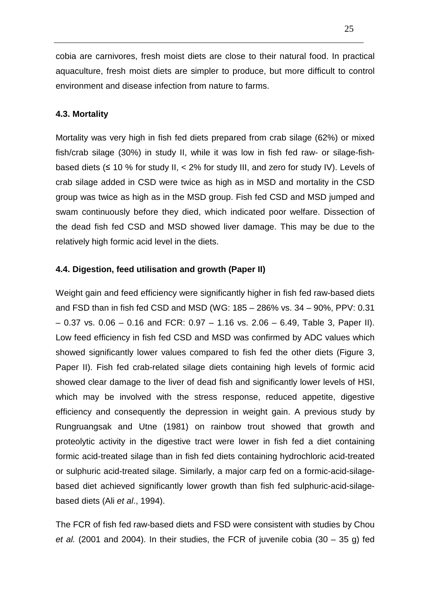cobia are carnivores, fresh moist diets are close to their natural food. In practical aquaculture, fresh moist diets are simpler to produce, but more difficult to control environment and disease infection from nature to farms.

## **4.3. Mortality**

Mortality was very high in fish fed diets prepared from crab silage (62%) or mixed fish/crab silage (30%) in study II, while it was low in fish fed raw- or silage-fishbased diets (≤ 10 % for study II, < 2% for study III, and zero for study IV). Levels of crab silage added in CSD were twice as high as in MSD and mortality in the CSD group was twice as high as in the MSD group. Fish fed CSD and MSD jumped and swam continuously before they died, which indicated poor welfare. Dissection of the dead fish fed CSD and MSD showed liver damage. This may be due to the relatively high formic acid level in the diets.

## **4.4. Digestion, feed utilisation and growth (Paper II)**

Weight gain and feed efficiency were significantly higher in fish fed raw-based diets and FSD than in fish fed CSD and MSD (WG: 185 – 286% vs. 34 – 90%, PPV: 0.31  $-0.37$  vs.  $0.06 - 0.16$  and FCR:  $0.97 - 1.16$  vs.  $2.06 - 6.49$ , Table 3, Paper II). Low feed efficiency in fish fed CSD and MSD was confirmed by ADC values which showed significantly lower values compared to fish fed the other diets (Figure 3, Paper II). Fish fed crab-related silage diets containing high levels of formic acid showed clear damage to the liver of dead fish and significantly lower levels of HSI, which may be involved with the stress response, reduced appetite, digestive efficiency and consequently the depression in weight gain. A previous study by Rungruangsak and Utne (1981) on rainbow trout showed that growth and proteolytic activity in the digestive tract were lower in fish fed a diet containing formic acid-treated silage than in fish fed diets containing hydrochloric acid-treated or sulphuric acid-treated silage. Similarly, a major carp fed on a formic-acid-silagebased diet achieved significantly lower growth than fish fed sulphuric-acid-silagebased diets (Ali et al., 1994).

The FCR of fish fed raw-based diets and FSD were consistent with studies by Chou et al. (2001 and 2004). In their studies, the FCR of juvenile cobia (30 – 35 g) fed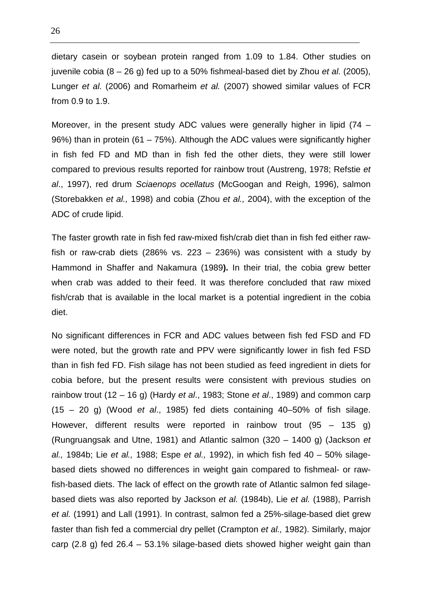dietary casein or soybean protein ranged from 1.09 to 1.84. Other studies on juvenile cobia  $(8 - 26$  g) fed up to a 50% fishmeal-based diet by Zhou et al. (2005), Lunger et al. (2006) and Romarheim et al. (2007) showed similar values of FCR from 0.9 to 1.9.

Moreover, in the present study ADC values were generally higher in lipid (74 – 96%) than in protein (61 – 75%). Although the ADC values were significantly higher in fish fed FD and MD than in fish fed the other diets, they were still lower compared to previous results reported for rainbow trout (Austreng, 1978; Refstie et al., 1997), red drum Sciaenops ocellatus (McGoogan and Reigh, 1996), salmon (Storebakken et al., 1998) and cobia (Zhou et al., 2004), with the exception of the ADC of crude lipid.

The faster growth rate in fish fed raw-mixed fish/crab diet than in fish fed either rawfish or raw-crab diets (286% vs. 223 – 236%) was consistent with a study by Hammond in Shaffer and Nakamura (1989**).** In their trial, the cobia grew better when crab was added to their feed. It was therefore concluded that raw mixed fish/crab that is available in the local market is a potential ingredient in the cobia diet.

No significant differences in FCR and ADC values between fish fed FSD and FD were noted, but the growth rate and PPV were significantly lower in fish fed FSD than in fish fed FD. Fish silage has not been studied as feed ingredient in diets for cobia before, but the present results were consistent with previous studies on rainbow trout (12 – 16 g) (Hardy et al., 1983; Stone et al., 1989) and common carp  $(15 - 20$  g) (Wood et al., 1985) fed diets containing 40-50% of fish silage. However, different results were reported in rainbow trout (95 – 135 g) (Rungruangsak and Utne, 1981) and Atlantic salmon (320 – 1400 g) (Jackson et al., 1984b; Lie et al., 1988; Espe et al., 1992), in which fish fed  $40 - 50\%$  silagebased diets showed no differences in weight gain compared to fishmeal- or rawfish-based diets. The lack of effect on the growth rate of Atlantic salmon fed silagebased diets was also reported by Jackson et al. (1984b), Lie et al. (1988), Parrish et al. (1991) and Lall (1991). In contrast, salmon fed a 25%-silage-based diet grew faster than fish fed a commercial dry pellet (Crampton et al., 1982). Similarly, major carp (2.8 g) fed 26.4 – 53.1% silage-based diets showed higher weight gain than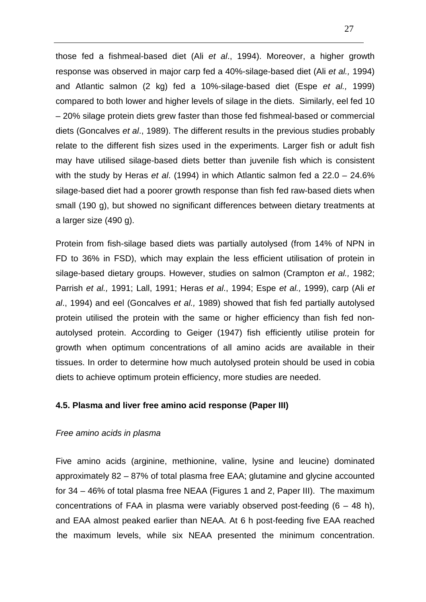those fed a fishmeal-based diet (Ali et al., 1994). Moreover, a higher growth response was observed in major carp fed a 40%-silage-based diet (Ali et al., 1994) and Atlantic salmon (2 kg) fed a 10%-silage-based diet (Espe et al., 1999) compared to both lower and higher levels of silage in the diets. Similarly, eel fed 10 – 20% silage protein diets grew faster than those fed fishmeal-based or commercial diets (Goncalves et al., 1989). The different results in the previous studies probably relate to the different fish sizes used in the experiments. Larger fish or adult fish may have utilised silage-based diets better than juvenile fish which is consistent with the study by Heras et al. (1994) in which Atlantic salmon fed a  $22.0 - 24.6\%$ silage-based diet had a poorer growth response than fish fed raw-based diets when small (190 g), but showed no significant differences between dietary treatments at a larger size (490 g).

Protein from fish-silage based diets was partially autolysed (from 14% of NPN in FD to 36% in FSD), which may explain the less efficient utilisation of protein in silage-based dietary groups. However, studies on salmon (Crampton et al., 1982; Parrish et al., 1991; Lall, 1991; Heras et al., 1994; Espe et al., 1999), carp (Ali et al., 1994) and eel (Goncalves et al., 1989) showed that fish fed partially autolysed protein utilised the protein with the same or higher efficiency than fish fed nonautolysed protein. According to Geiger (1947) fish efficiently utilise protein for growth when optimum concentrations of all amino acids are available in their tissues. In order to determine how much autolysed protein should be used in cobia diets to achieve optimum protein efficiency, more studies are needed.

## **4.5. Plasma and liver free amino acid response (Paper III)**

## Free amino acids in plasma

Five amino acids (arginine, methionine, valine, lysine and leucine) dominated approximately 82 – 87% of total plasma free EAA; glutamine and glycine accounted for 34 – 46% of total plasma free NEAA (Figures 1 and 2, Paper III). The maximum concentrations of FAA in plasma were variably observed post-feeding  $(6 - 48 h)$ , and EAA almost peaked earlier than NEAA. At 6 h post-feeding five EAA reached the maximum levels, while six NEAA presented the minimum concentration.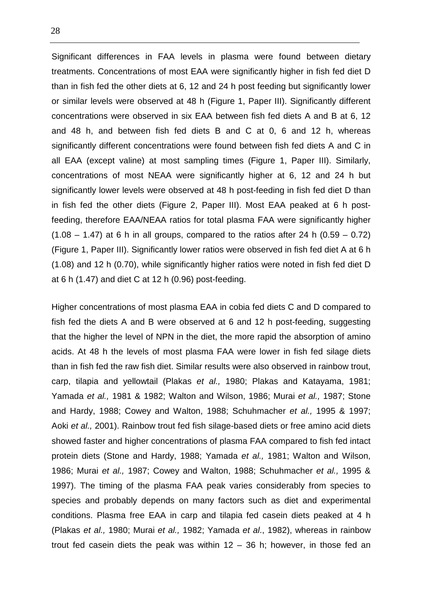Significant differences in FAA levels in plasma were found between dietary treatments. Concentrations of most EAA were significantly higher in fish fed diet D than in fish fed the other diets at 6, 12 and 24 h post feeding but significantly lower or similar levels were observed at 48 h (Figure 1, Paper III). Significantly different concentrations were observed in six EAA between fish fed diets A and B at 6, 12 and 48 h, and between fish fed diets B and C at 0, 6 and 12 h, whereas significantly different concentrations were found between fish fed diets A and C in all EAA (except valine) at most sampling times (Figure 1, Paper III). Similarly, concentrations of most NEAA were significantly higher at 6, 12 and 24 h but significantly lower levels were observed at 48 h post-feeding in fish fed diet D than in fish fed the other diets (Figure 2, Paper III). Most EAA peaked at 6 h postfeeding, therefore EAA/NEAA ratios for total plasma FAA were significantly higher  $(1.08 - 1.47)$  at 6 h in all groups, compared to the ratios after 24 h  $(0.59 - 0.72)$ (Figure 1, Paper III). Significantly lower ratios were observed in fish fed diet A at 6 h (1.08) and 12 h (0.70), while significantly higher ratios were noted in fish fed diet D at 6 h (1.47) and diet C at 12 h (0.96) post-feeding.

Higher concentrations of most plasma EAA in cobia fed diets C and D compared to fish fed the diets A and B were observed at 6 and 12 h post-feeding, suggesting that the higher the level of NPN in the diet, the more rapid the absorption of amino acids. At 48 h the levels of most plasma FAA were lower in fish fed silage diets than in fish fed the raw fish diet. Similar results were also observed in rainbow trout, carp, tilapia and yellowtail (Plakas et al., 1980; Plakas and Katayama, 1981; Yamada et al., 1981 & 1982; Walton and Wilson, 1986; Murai et al., 1987; Stone and Hardy, 1988; Cowey and Walton, 1988; Schuhmacher et al., 1995 & 1997; Aoki et al., 2001). Rainbow trout fed fish silage-based diets or free amino acid diets showed faster and higher concentrations of plasma FAA compared to fish fed intact protein diets (Stone and Hardy, 1988; Yamada et al., 1981; Walton and Wilson, 1986; Murai et al., 1987; Cowey and Walton, 1988; Schuhmacher et al., 1995 & 1997). The timing of the plasma FAA peak varies considerably from species to species and probably depends on many factors such as diet and experimental conditions. Plasma free EAA in carp and tilapia fed casein diets peaked at 4 h (Plakas et al., 1980; Murai et al., 1982; Yamada et al., 1982), whereas in rainbow trout fed casein diets the peak was within  $12 - 36$  h; however, in those fed an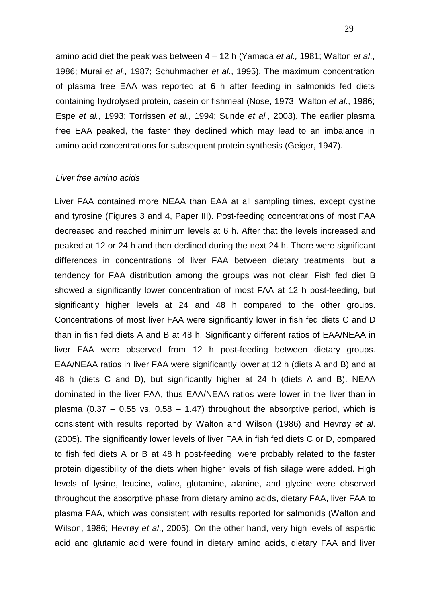amino acid diet the peak was between  $4 - 12$  h (Yamada et al., 1981; Walton et al., 1986; Murai et al., 1987; Schuhmacher et al., 1995). The maximum concentration of plasma free EAA was reported at 6 h after feeding in salmonids fed diets containing hydrolysed protein, casein or fishmeal (Nose, 1973; Walton et al., 1986; Espe et al., 1993; Torrissen et al., 1994; Sunde et al., 2003). The earlier plasma free EAA peaked, the faster they declined which may lead to an imbalance in amino acid concentrations for subsequent protein synthesis (Geiger, 1947).

## Liver free amino acids

Liver FAA contained more NEAA than EAA at all sampling times, except cystine and tyrosine (Figures 3 and 4, Paper III). Post-feeding concentrations of most FAA decreased and reached minimum levels at 6 h. After that the levels increased and peaked at 12 or 24 h and then declined during the next 24 h. There were significant differences in concentrations of liver FAA between dietary treatments, but a tendency for FAA distribution among the groups was not clear. Fish fed diet B showed a significantly lower concentration of most FAA at 12 h post-feeding, but significantly higher levels at 24 and 48 h compared to the other groups. Concentrations of most liver FAA were significantly lower in fish fed diets C and D than in fish fed diets A and B at 48 h. Significantly different ratios of EAA/NEAA in liver FAA were observed from 12 h post-feeding between dietary groups. EAA/NEAA ratios in liver FAA were significantly lower at 12 h (diets A and B) and at 48 h (diets C and D), but significantly higher at 24 h (diets A and B). NEAA dominated in the liver FAA, thus EAA/NEAA ratios were lower in the liver than in plasma  $(0.37 - 0.55$  vs.  $0.58 - 1.47)$  throughout the absorptive period, which is consistent with results reported by Walton and Wilson (1986) and Hevrøy et al. (2005). The significantly lower levels of liver FAA in fish fed diets C or D, compared to fish fed diets A or B at 48 h post-feeding, were probably related to the faster protein digestibility of the diets when higher levels of fish silage were added. High levels of lysine, leucine, valine, glutamine, alanine, and glycine were observed throughout the absorptive phase from dietary amino acids, dietary FAA, liver FAA to plasma FAA, which was consistent with results reported for salmonids (Walton and Wilson, 1986; Hevrøy et al., 2005). On the other hand, very high levels of aspartic acid and glutamic acid were found in dietary amino acids, dietary FAA and liver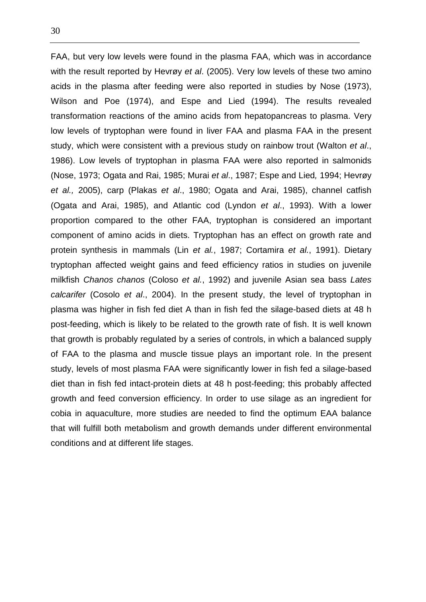FAA, but very low levels were found in the plasma FAA, which was in accordance with the result reported by Hevrøy et al. (2005). Very low levels of these two amino acids in the plasma after feeding were also reported in studies by Nose (1973), Wilson and Poe (1974), and Espe and Lied (1994). The results revealed transformation reactions of the amino acids from hepatopancreas to plasma. Very low levels of tryptophan were found in liver FAA and plasma FAA in the present study, which were consistent with a previous study on rainbow trout (Walton et al., 1986). Low levels of tryptophan in plasma FAA were also reported in salmonids (Nose, 1973; Ogata and Rai, 1985; Murai et al., 1987; Espe and Lied, 1994; Hevrøy et al., 2005), carp (Plakas et al., 1980; Ogata and Arai, 1985), channel catfish (Ogata and Arai, 1985), and Atlantic cod (Lyndon et al., 1993). With a lower proportion compared to the other FAA, tryptophan is considered an important component of amino acids in diets. Tryptophan has an effect on growth rate and protein synthesis in mammals (Lin et al., 1987; Cortamira et al., 1991). Dietary tryptophan affected weight gains and feed efficiency ratios in studies on juvenile milkfish Chanos chanos (Coloso et al., 1992) and juvenile Asian sea bass Lates calcarifer (Cosolo et al., 2004). In the present study, the level of tryptophan in plasma was higher in fish fed diet A than in fish fed the silage-based diets at 48 h post-feeding, which is likely to be related to the growth rate of fish. It is well known that growth is probably regulated by a series of controls, in which a balanced supply of FAA to the plasma and muscle tissue plays an important role. In the present study, levels of most plasma FAA were significantly lower in fish fed a silage-based diet than in fish fed intact-protein diets at 48 h post-feeding; this probably affected growth and feed conversion efficiency. In order to use silage as an ingredient for cobia in aquaculture, more studies are needed to find the optimum EAA balance that will fulfill both metabolism and growth demands under different environmental conditions and at different life stages.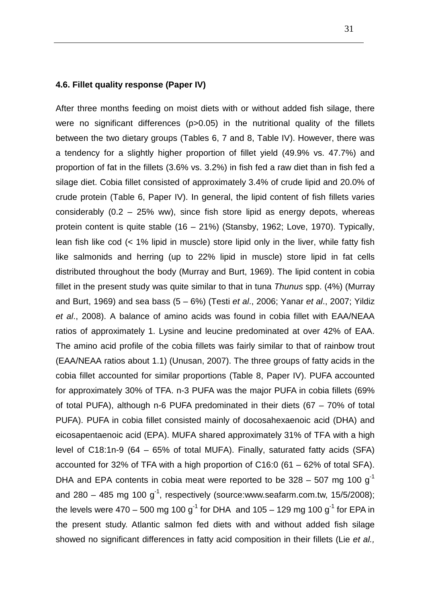## **4.6. Fillet quality response (Paper IV)**

After three months feeding on moist diets with or without added fish silage, there were no significant differences (p>0.05) in the nutritional quality of the fillets between the two dietary groups (Tables 6, 7 and 8, Table IV). However, there was a tendency for a slightly higher proportion of fillet yield (49.9% vs. 47.7%) and proportion of fat in the fillets (3.6% vs. 3.2%) in fish fed a raw diet than in fish fed a silage diet. Cobia fillet consisted of approximately 3.4% of crude lipid and 20.0% of crude protein (Table 6, Paper IV). In general, the lipid content of fish fillets varies considerably  $(0.2 - 25\%$  ww), since fish store lipid as energy depots, whereas protein content is quite stable (16 – 21%) (Stansby, 1962; Love, 1970). Typically, lean fish like cod (< 1% lipid in muscle) store lipid only in the liver, while fatty fish like salmonids and herring (up to 22% lipid in muscle) store lipid in fat cells distributed throughout the body (Murray and Burt, 1969). The lipid content in cobia fillet in the present study was quite similar to that in tuna Thunus spp. (4%) (Murray and Burt, 1969) and sea bass  $(5 - 6%)$  (Testi et al., 2006; Yanar et al., 2007; Yildiz et al., 2008). A balance of amino acids was found in cobia fillet with EAA/NEAA ratios of approximately 1. Lysine and leucine predominated at over 42% of EAA. The amino acid profile of the cobia fillets was fairly similar to that of rainbow trout (EAA/NEAA ratios about 1.1) (Unusan, 2007). The three groups of fatty acids in the cobia fillet accounted for similar proportions (Table 8, Paper IV). PUFA accounted for approximately 30% of TFA. n-3 PUFA was the major PUFA in cobia fillets (69% of total PUFA), although n-6 PUFA predominated in their diets  $(67 - 70\%$  of total PUFA). PUFA in cobia fillet consisted mainly of docosahexaenoic acid (DHA) and eicosapentaenoic acid (EPA). MUFA shared approximately 31% of TFA with a high level of C18:1n-9 (64 – 65% of total MUFA). Finally, saturated fatty acids (SFA) accounted for 32% of TFA with a high proportion of C16:0 (61 – 62% of total SFA). DHA and EPA contents in cobia meat were reported to be  $328 - 507$  mg 100 g<sup>-1</sup> and 280 – 485 mg 100 g<sup>-1</sup>, respectively (source:www.seafarm.com.tw, 15/5/2008); the levels were 470 – 500 mg 100  $q^{-1}$  for DHA and 105 – 129 mg 100  $q^{-1}$  for EPA in the present study. Atlantic salmon fed diets with and without added fish silage showed no significant differences in fatty acid composition in their fillets (Lie et al.,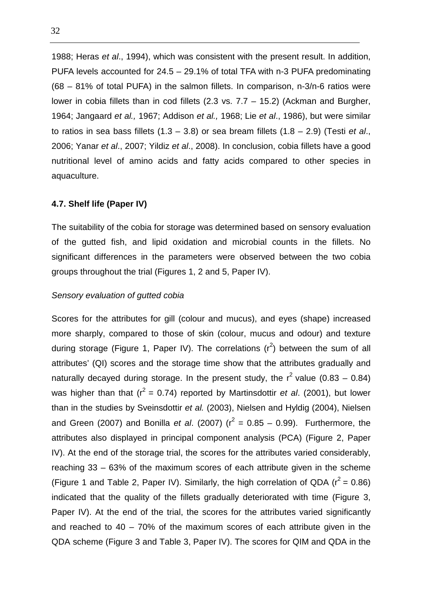1988; Heras et al., 1994), which was consistent with the present result. In addition, PUFA levels accounted for 24.5 – 29.1% of total TFA with n-3 PUFA predominating (68 – 81% of total PUFA) in the salmon fillets. In comparison, n-3/n-6 ratios were lower in cobia fillets than in cod fillets (2.3 vs. 7.7 – 15.2) (Ackman and Burgher, 1964; Jangaard et al., 1967; Addison et al., 1968; Lie et al., 1986), but were similar to ratios in sea bass fillets  $(1.3 - 3.8)$  or sea bream fillets  $(1.8 - 2.9)$  (Testi et al., 2006; Yanar et al., 2007; Yildiz et al., 2008). In conclusion, cobia fillets have a good nutritional level of amino acids and fatty acids compared to other species in aquaculture.

### **4.7. Shelf life (Paper IV)**

The suitability of the cobia for storage was determined based on sensory evaluation of the gutted fish, and lipid oxidation and microbial counts in the fillets. No significant differences in the parameters were observed between the two cobia groups throughout the trial (Figures 1, 2 and 5, Paper IV).

#### Sensory evaluation of gutted cobia

Scores for the attributes for gill (colour and mucus), and eyes (shape) increased more sharply, compared to those of skin (colour, mucus and odour) and texture during storage (Figure 1, Paper IV). The correlations  $(r^2)$  between the sum of all attributes' (QI) scores and the storage time show that the attributes gradually and naturally decayed during storage. In the present study, the  $r^2$  value (0.83 – 0.84) was higher than that ( $r^2 = 0.74$ ) reported by Martinsdottir *et al.* (2001), but lower than in the studies by Sveinsdottir et al. (2003), Nielsen and Hyldig (2004), Nielsen and Green (2007) and Bonilla et al. (2007) ( $r^2 = 0.85 - 0.99$ ). Furthermore, the attributes also displayed in principal component analysis (PCA) (Figure 2, Paper IV). At the end of the storage trial, the scores for the attributes varied considerably, reaching 33 – 63% of the maximum scores of each attribute given in the scheme (Figure 1 and Table 2, Paper IV). Similarly, the high correlation of QDA ( $r^2 = 0.86$ ) indicated that the quality of the fillets gradually deteriorated with time (Figure 3, Paper IV). At the end of the trial, the scores for the attributes varied significantly and reached to 40 – 70% of the maximum scores of each attribute given in the QDA scheme (Figure 3 and Table 3, Paper IV). The scores for QIM and QDA in the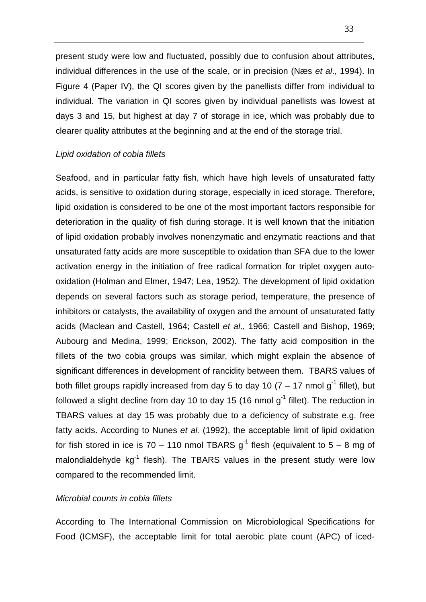present study were low and fluctuated, possibly due to confusion about attributes, individual differences in the use of the scale, or in precision (Næs et al., 1994). In Figure 4 (Paper IV), the QI scores given by the panellists differ from individual to individual. The variation in QI scores given by individual panellists was lowest at days 3 and 15, but highest at day 7 of storage in ice, which was probably due to clearer quality attributes at the beginning and at the end of the storage trial.

#### Lipid oxidation of cobia fillets

Seafood, and in particular fatty fish, which have high levels of unsaturated fatty acids, is sensitive to oxidation during storage, especially in iced storage. Therefore, lipid oxidation is considered to be one of the most important factors responsible for deterioration in the quality of fish during storage. It is well known that the initiation of lipid oxidation probably involves nonenzymatic and enzymatic reactions and that unsaturated fatty acids are more susceptible to oxidation than SFA due to the lower activation energy in the initiation of free radical formation for triplet oxygen autooxidation (Holman and Elmer, 1947; Lea, 1952). The development of lipid oxidation depends on several factors such as storage period, temperature, the presence of inhibitors or catalysts, the availability of oxygen and the amount of unsaturated fatty acids (Maclean and Castell, 1964; Castell et al., 1966; Castell and Bishop, 1969; Aubourg and Medina, 1999; Erickson, 2002). The fatty acid composition in the fillets of the two cobia groups was similar, which might explain the absence of significant differences in development of rancidity between them. TBARS values of both fillet groups rapidly increased from day 5 to day 10 (7 – 17 nmol  $q^{-1}$  fillet), but followed a slight decline from day 10 to day 15 (16 nmol  $q^{-1}$  fillet). The reduction in TBARS values at day 15 was probably due to a deficiency of substrate e.g. free fatty acids. According to Nunes et al. (1992), the acceptable limit of lipid oxidation for fish stored in ice is 70 – 110 nmol TBARS  $q^{-1}$  flesh (equivalent to 5 – 8 mg of malondialdehyde  $kq^{-1}$  flesh). The TBARS values in the present study were low compared to the recommended limit.

### Microbial counts in cobia fillets

According to The International Commission on Microbiological Specifications for Food (ICMSF), the acceptable limit for total aerobic plate count (APC) of iced-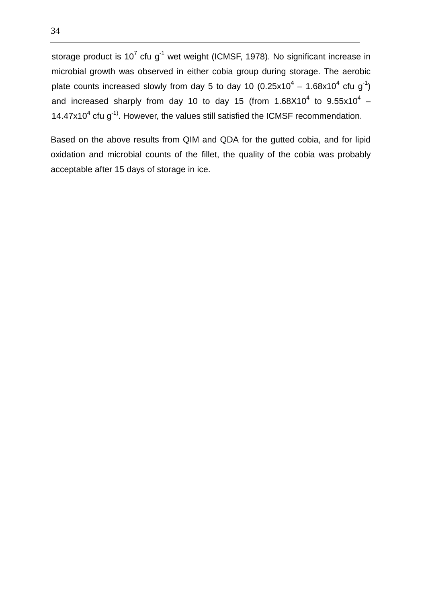storage product is 10<sup>7</sup> cfu g<sup>-1</sup> wet weight (ICMSF, 1978). No significant increase in microbial growth was observed in either cobia group during storage. The aerobic plate counts increased slowly from day 5 to day 10 (0.25x10<sup>4</sup> – 1.68x10<sup>4</sup> cfu g<sup>-1</sup>) and increased sharply from day 10 to day 15 (from 1.68X10<sup>4</sup> to 9.55x10<sup>4</sup> – 14.47 $x$ 10<sup>4</sup> cfu g<sup>-1)</sup>. However, the values still satisfied the ICMSF recommendation.

Based on the above results from QIM and QDA for the gutted cobia, and for lipid oxidation and microbial counts of the fillet, the quality of the cobia was probably acceptable after 15 days of storage in ice.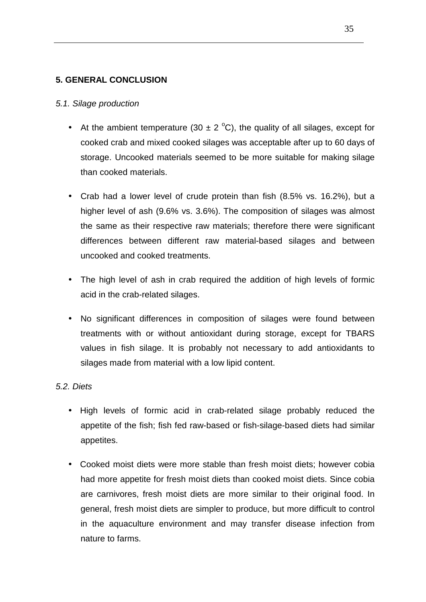# **5. GENERAL CONCLUSION**

### 5.1. Silage production

- At the ambient temperature (30  $\pm$  2 °C), the quality of all silages, except for cooked crab and mixed cooked silages was acceptable after up to 60 days of storage. Uncooked materials seemed to be more suitable for making silage than cooked materials.
- Crab had a lower level of crude protein than fish (8.5% vs. 16.2%), but a higher level of ash (9.6% vs. 3.6%). The composition of silages was almost the same as their respective raw materials; therefore there were significant differences between different raw material-based silages and between uncooked and cooked treatments.
- The high level of ash in crab required the addition of high levels of formic acid in the crab-related silages.
- No significant differences in composition of silages were found between treatments with or without antioxidant during storage, except for TBARS values in fish silage. It is probably not necessary to add antioxidants to silages made from material with a low lipid content.

# 5.2. Diets

- High levels of formic acid in crab-related silage probably reduced the appetite of the fish; fish fed raw-based or fish-silage-based diets had similar appetites.
- Cooked moist diets were more stable than fresh moist diets; however cobia had more appetite for fresh moist diets than cooked moist diets. Since cobia are carnivores, fresh moist diets are more similar to their original food. In general, fresh moist diets are simpler to produce, but more difficult to control in the aquaculture environment and may transfer disease infection from nature to farms.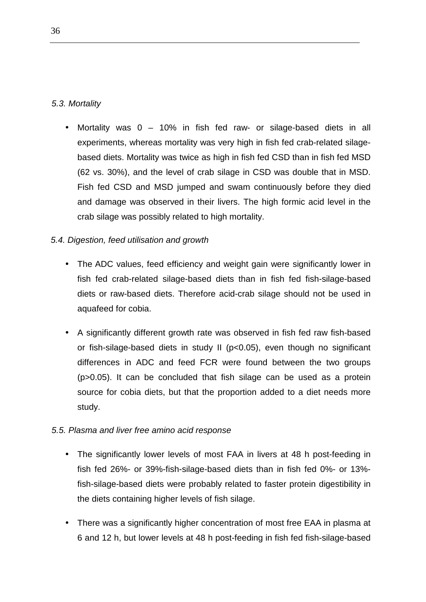# 5.3. Mortality

• Mortality was 0 – 10% in fish fed raw- or silage-based diets in all experiments, whereas mortality was very high in fish fed crab-related silagebased diets. Mortality was twice as high in fish fed CSD than in fish fed MSD (62 vs. 30%), and the level of crab silage in CSD was double that in MSD. Fish fed CSD and MSD jumped and swam continuously before they died and damage was observed in their livers. The high formic acid level in the crab silage was possibly related to high mortality.

# 5.4. Digestion, feed utilisation and growth

- The ADC values, feed efficiency and weight gain were significantly lower in fish fed crab-related silage-based diets than in fish fed fish-silage-based diets or raw-based diets. Therefore acid-crab silage should not be used in aquafeed for cobia.
- A significantly different growth rate was observed in fish fed raw fish-based or fish-silage-based diets in study II (p<0.05), even though no significant differences in ADC and feed FCR were found between the two groups (p>0.05). It can be concluded that fish silage can be used as a protein source for cobia diets, but that the proportion added to a diet needs more study.

# 5.5. Plasma and liver free amino acid response

- The significantly lower levels of most FAA in livers at 48 h post-feeding in fish fed 26%- or 39%-fish-silage-based diets than in fish fed 0%- or 13% fish-silage-based diets were probably related to faster protein digestibility in the diets containing higher levels of fish silage.
- There was a significantly higher concentration of most free EAA in plasma at 6 and 12 h, but lower levels at 48 h post-feeding in fish fed fish-silage-based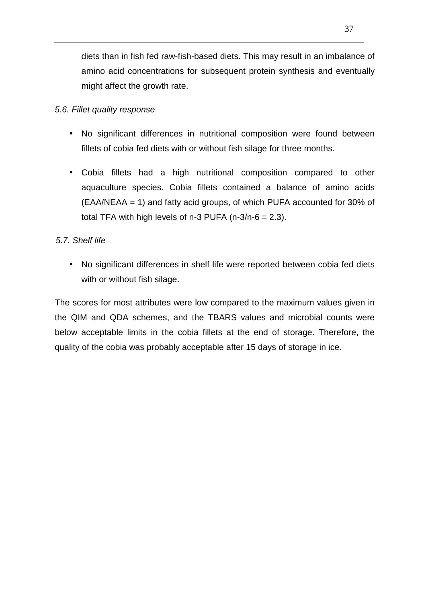diets than in fish fed raw-fish-based diets. This may result in an imbalance of amino acid concentrations for subsequent protein synthesis and eventually might affect the growth rate.

### 5.6. Fillet quality response

- No significant differences in nutritional composition were found between fillets of cobia fed diets with or without fish silage for three months.
- Cobia fillets had a high nutritional composition compared to other aquaculture species. Cobia fillets contained a balance of amino acids (EAA/NEAA = 1) and fatty acid groups, of which PUFA accounted for 30% of total TFA with high levels of  $n-3$  PUFA ( $n-3/n-6 = 2.3$ ).

### 5.7. Shelf life

• No significant differences in shelf life were reported between cobia fed diets with or without fish silage.

The scores for most attributes were low compared to the maximum values given in the QIM and QDA schemes, and the TBARS values and microbial counts were below acceptable limits in the cobia fillets at the end of storage. Therefore, the quality of the cobia was probably acceptable after 15 days of storage in ice.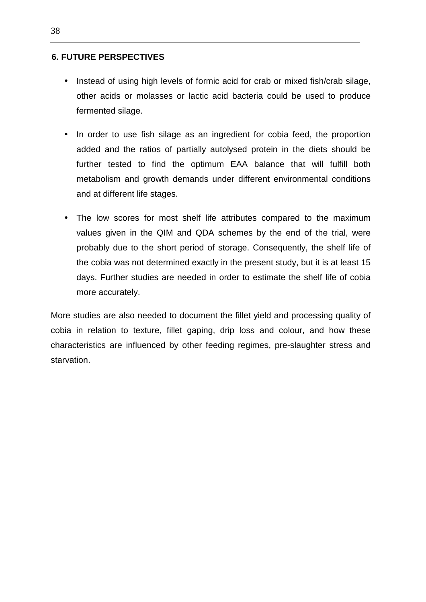### **6. FUTURE PERSPECTIVES**

- Instead of using high levels of formic acid for crab or mixed fish/crab silage, other acids or molasses or lactic acid bacteria could be used to produce fermented silage.
- In order to use fish silage as an ingredient for cobia feed, the proportion added and the ratios of partially autolysed protein in the diets should be further tested to find the optimum EAA balance that will fulfill both metabolism and growth demands under different environmental conditions and at different life stages.
- The low scores for most shelf life attributes compared to the maximum values given in the QIM and QDA schemes by the end of the trial, were probably due to the short period of storage. Consequently, the shelf life of the cobia was not determined exactly in the present study, but it is at least 15 days. Further studies are needed in order to estimate the shelf life of cobia more accurately.

More studies are also needed to document the fillet yield and processing quality of cobia in relation to texture, fillet gaping, drip loss and colour, and how these characteristics are influenced by other feeding regimes, pre-slaughter stress and starvation.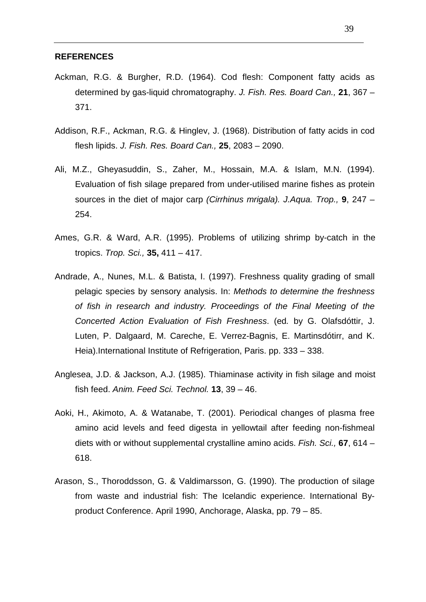#### **REFERENCES**

- Ackman, R.G. & Burgher, R.D. (1964). Cod flesh: Component fatty acids as determined by gas-liquid chromatography. J. Fish. Res. Board Can., **21**, 367 – 371.
- Addison, R.F., Ackman, R.G. & Hinglev, J. (1968). Distribution of fatty acids in cod flesh lipids. J. Fish. Res. Board Can., **25**, 2083 – 2090.
- Ali, M.Z., Gheyasuddin, S., Zaher, M., Hossain, M.A. & Islam, M.N. (1994). Evaluation of fish silage prepared from under-utilised marine fishes as protein sources in the diet of major carp (Cirrhinus mrigala). J.Aqua. Trop., **9**, 247 – 254.
- Ames, G.R. & Ward, A.R. (1995). Problems of utilizing shrimp by-catch in the tropics. Trop. Sci., **35,** 411 – 417.
- Andrade, A., Nunes, M.L. & Batista, I. (1997). Freshness quality grading of small pelagic species by sensory analysis. In: Methods to determine the freshness of fish in research and industry. Proceedings of the Final Meeting of the Concerted Action Evaluation of Fish Freshness. (ed. by G. Olafsdóttir, J. Luten, P. Dalgaard, M. Careche, E. Verrez-Bagnis, E. Martinsdótirr, and K. Heia).International Institute of Refrigeration, Paris. pp. 333 – 338.
- Anglesea, J.D. & Jackson, A.J. (1985). Thiaminase activity in fish silage and moist fish feed. Anim. Feed Sci. Technol. **13**, 39 – 46.
- Aoki, H., Akimoto, A. & Watanabe, T. (2001). Periodical changes of plasma free amino acid levels and feed digesta in yellowtail after feeding non-fishmeal diets with or without supplemental crystalline amino acids. Fish. Sci., **67**, 614 – 618.
- Arason, S., Thoroddsson, G. & Valdimarsson, G. (1990). The production of silage from waste and industrial fish: The Icelandic experience. International Byproduct Conference. April 1990, Anchorage, Alaska, pp. 79 – 85.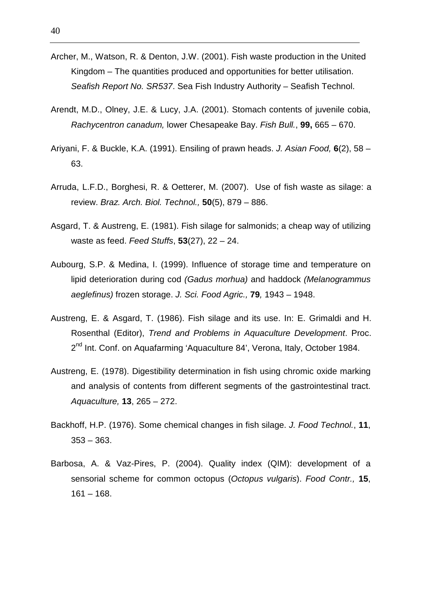- Archer, M., Watson, R. & Denton, J.W. (2001). Fish waste production in the United Kingdom – The quantities produced and opportunities for better utilisation. Seafish Report No. SR537. Sea Fish Industry Authority – Seafish Technol.
- Arendt, M.D., Olney, J.E. & Lucy, J.A. (2001). Stomach contents of juvenile cobia, Rachycentron canadum, lower Chesapeake Bay. Fish Bull., **99,** 665 – 670.
- Ariyani, F. & Buckle, K.A. (1991). Ensiling of prawn heads. J. Asian Food, **6**(2), 58 63.
- Arruda, L.F.D., Borghesi, R. & Oetterer, M. (2007). Use of fish waste as silage: a review. Braz. Arch. Biol. Technol., **50**(5), 879 – 886.
- Asgard, T. & Austreng, E. (1981). Fish silage for salmonids; a cheap way of utilizing waste as feed. Feed Stuffs, **53**(27), 22 – 24.
- Aubourg, S.P. & Medina, I. (1999). Influence of storage time and temperature on lipid deterioration during cod (Gadus morhua) and haddock (Melanogrammus aeglefinus) frozen storage. J. Sci. Food Agric., **79**, 1943 – 1948.
- Austreng, E. & Asgard, T. (1986). Fish silage and its use. In: E. Grimaldi and H. Rosenthal (Editor), Trend and Problems in Aquaculture Development. Proc. 2<sup>nd</sup> Int. Conf. on Aquafarming 'Aquaculture 84', Verona, Italy, October 1984.
- Austreng, E. (1978). Digestibility determination in fish using chromic oxide marking and analysis of contents from different segments of the gastrointestinal tract. Aquaculture, **13**, 265 – 272.
- Backhoff, H.P. (1976). Some chemical changes in fish silage. J. Food Technol., **11**, 353 – 363.
- Barbosa, A. & Vaz-Pires, P. (2004). Quality index (QIM): development of a sensorial scheme for common octopus (Octopus vulgaris). Food Contr., **15**,  $161 - 168.$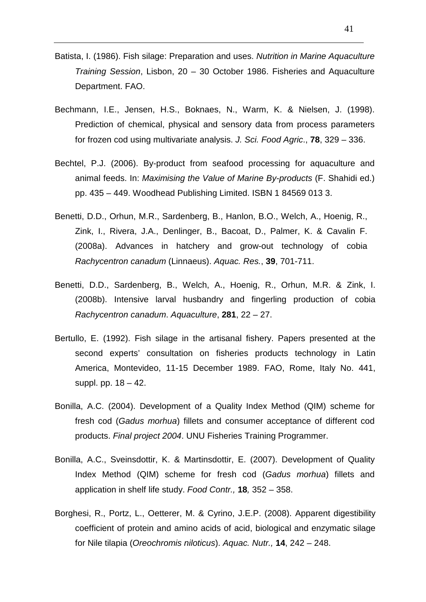- Batista, I. (1986). Fish silage: Preparation and uses. Nutrition in Marine Aquaculture Training Session, Lisbon, 20 – 30 October 1986. Fisheries and Aquaculture Department. FAO.
- Bechmann, I.E., Jensen, H.S., Boknaes, N., Warm, K. & Nielsen, J. (1998). Prediction of chemical, physical and sensory data from process parameters for frozen cod using multivariate analysis. J. Sci. Food Agric., **78**, 329 – 336.
- Bechtel, P.J. (2006). By-product from seafood processing for aquaculture and animal feeds. In: Maximising the Value of Marine By-products (F. Shahidi ed.) pp. 435 – 449. Woodhead Publishing Limited. ISBN 1 84569 013 3.
- Benetti, D.D., Orhun, M.R., Sardenberg, B., Hanlon, B.O., Welch, A., Hoenig, R., Zink, I., Rivera, J.A., Denlinger, B., Bacoat, D., Palmer, K. & Cavalin F. (2008a). Advances in hatchery and grow-out technology of cobia Rachycentron canadum (Linnaeus). Aquac. Res., **39**, 701-711.
- Benetti, D.D., Sardenberg, B., Welch, A., Hoenig, R., Orhun, M.R. & Zink, I. (2008b). Intensive larval husbandry and fingerling production of cobia Rachycentron canadum. Aquaculture, **281**, 22 – 27.
- Bertullo, E. (1992). Fish silage in the artisanal fishery. Papers presented at the second experts' consultation on fisheries products technology in Latin America, Montevideo, 11-15 December 1989. FAO, Rome, Italy No. 441, suppl. pp. 18 – 42.
- Bonilla, A.C. (2004). Development of a Quality Index Method (QIM) scheme for fresh cod (Gadus morhua) fillets and consumer acceptance of different cod products. Final project 2004. UNU Fisheries Training Programmer.
- Bonilla, A.C., Sveinsdottir, K. & Martinsdottir, E. (2007). Development of Quality Index Method (QIM) scheme for fresh cod (Gadus morhua) fillets and application in shelf life study. Food Contr., **18**, 352 – 358.
- Borghesi, R., Portz, L., Oetterer, M. & Cyrino, J.E.P. (2008). Apparent digestibility coefficient of protein and amino acids of acid, biological and enzymatic silage for Nile tilapia (Oreochromis niloticus). Aquac. Nutr., **14**, 242 – 248.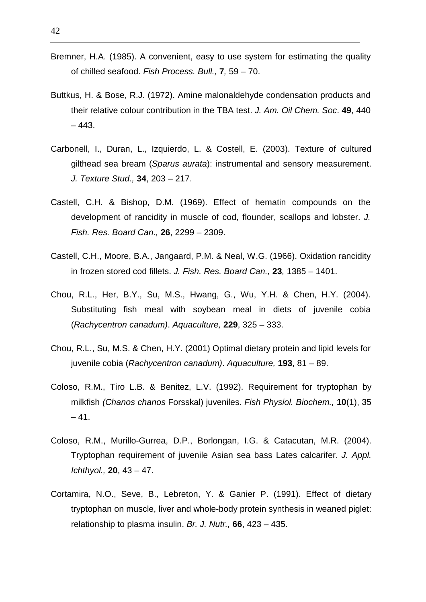- Bremner, H.A. (1985). A convenient, easy to use system for estimating the quality of chilled seafood. Fish Process. Bull., **7**, 59 – 70.
- Buttkus, H. & Bose, R.J. (1972). Amine malonaldehyde condensation products and their relative colour contribution in the TBA test. J. Am. Oil Chem. Soc. **49**, 440 – 443.
- Carbonell, I., Duran, L., Izquierdo, L. & Costell, E. (2003). Texture of cultured gilthead sea bream (Sparus aurata): instrumental and sensory measurement. J. Texture Stud., **34**, 203 – 217.
- Castell, C.H. & Bishop, D.M. (1969). Effect of hematin compounds on the development of rancidity in muscle of cod, flounder, scallops and lobster. J. Fish. Res. Board Can., **26**, 2299 – 2309.
- Castell, C.H., Moore, B.A., Jangaard, P.M. & Neal, W.G. (1966). Oxidation rancidity in frozen stored cod fillets. J. Fish. Res. Board Can., **23**, 1385 – 1401.
- Chou, R.L., Her, B.Y., Su, M.S., Hwang, G., Wu, Y.H. & Chen, H.Y. (2004). Substituting fish meal with soybean meal in diets of juvenile cobia (Rachycentron canadum). Aquaculture, **229**, 325 – 333.
- Chou, R.L., Su, M.S. & Chen, H.Y. (2001) Optimal dietary protein and lipid levels for juvenile cobia (Rachycentron canadum). Aquaculture, **193**, 81 – 89.
- Coloso, R.M., Tiro L.B. & Benitez, L.V. (1992). Requirement for tryptophan by milkfish (Chanos chanos Forsskal) juveniles. Fish Physiol. Biochem., **10**(1), 35  $-41.$
- Coloso, R.M., Murillo-Gurrea, D.P., Borlongan, I.G. & Catacutan, M.R. (2004). Tryptophan requirement of juvenile Asian sea bass Lates calcarifer. J. Appl. Ichthyol., **20**, 43 – 47.
- Cortamira, N.O., Seve, B., Lebreton, Y. & Ganier P. (1991). Effect of dietary tryptophan on muscle, liver and whole-body protein synthesis in weaned piglet: relationship to plasma insulin. Br. J. Nutr., **66**, 423 – 435.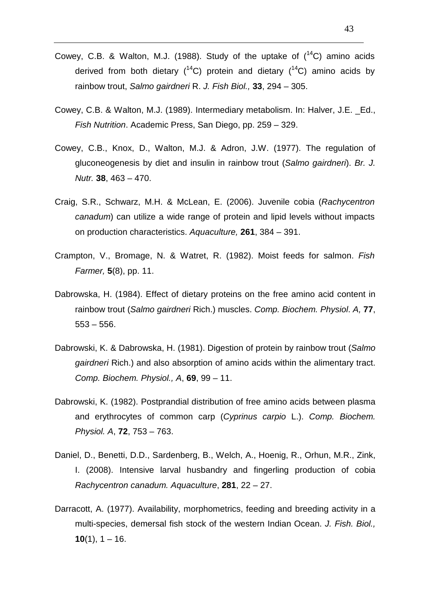- Cowey, C.B. & Walton, M.J. (1988). Study of the uptake of  $(^{14}C)$  amino acids derived from both dietary  $(^{14}C)$  protein and dietary  $(^{14}C)$  amino acids by rainbow trout, Salmo gairdneri R. J. Fish Biol., **33**, 294 – 305.
- Cowey, C.B. & Walton, M.J. (1989). Intermediary metabolism. In: Halver, J.E. \_Ed., Fish Nutrition. Academic Press, San Diego, pp. 259 – 329.
- Cowey, C.B., Knox, D., Walton, M.J. & Adron, J.W. (1977). The regulation of gluconeogenesis by diet and insulin in rainbow trout (Salmo gairdneri). Br. J. Nutr. **38**, 463 – 470.
- Craig, S.R., Schwarz, M.H. & McLean, E. (2006). Juvenile cobia (Rachycentron canadum) can utilize a wide range of protein and lipid levels without impacts on production characteristics. Aquaculture, **261**, 384 – 391.
- Crampton, V., Bromage, N. & Watret, R. (1982). Moist feeds for salmon. Fish Farmer, **5**(8), pp. 11.
- Dabrowska, H. (1984). Effect of dietary proteins on the free amino acid content in rainbow trout (Salmo gairdneri Rich.) muscles. Comp. Biochem. Physiol. A, **77**,  $553 - 556$ .
- Dabrowski, K. & Dabrowska, H. (1981). Digestion of protein by rainbow trout (Salmo gairdneri Rich.) and also absorption of amino acids within the alimentary tract. Comp. Biochem. Physiol., A, **69**, 99 – 11.
- Dabrowski, K. (1982). Postprandial distribution of free amino acids between plasma and erythrocytes of common carp (Cyprinus carpio L.). Comp. Biochem. Physiol. A, **72**, 753 – 763.
- Daniel, D., Benetti, D.D., Sardenberg, B., Welch, A., Hoenig, R., Orhun, M.R., Zink, I. (2008). Intensive larval husbandry and fingerling production of cobia Rachycentron canadum. Aquaculture, **281**, 22 – 27.
- Darracott, A. (1977). Availability, morphometrics, feeding and breeding activity in a multi-species, demersal fish stock of the western Indian Ocean. J. Fish. Biol., **10**(1),  $1 - 16$ .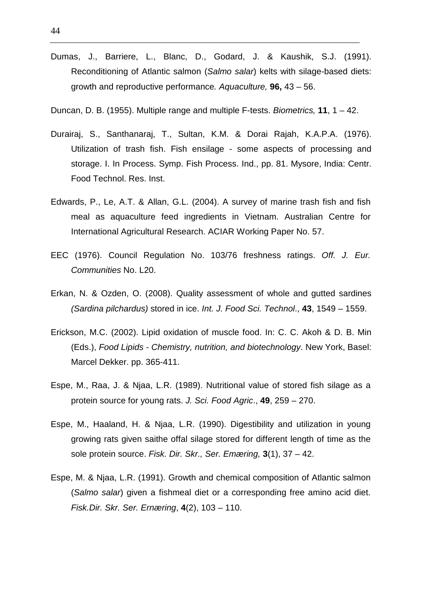- Dumas, J., Barriere, L., Blanc, D., Godard, J. & Kaushik, S.J. (1991). Reconditioning of Atlantic salmon (Salmo salar) kelts with silage-based diets: growth and reproductive performance. Aquaculture, **96,** 43 – 56.
- Duncan, D. B. (1955). Multiple range and multiple F-tests. Biometrics, **11**, 1 42.
- Durairaj, S., Santhanaraj, T., Sultan, K.M. & Dorai Rajah, K.A.P.A. (1976). Utilization of trash fish. Fish ensilage - some aspects of processing and storage. I. In Process. Symp. Fish Process. Ind., pp. 81. Mysore, India: Centr. Food Technol. Res. Inst.
- Edwards, P., Le, A.T. & Allan, G.L. (2004). A survey of marine trash fish and fish meal as aquaculture feed ingredients in Vietnam. Australian Centre for International Agricultural Research. ACIAR Working Paper No. 57.
- EEC (1976). Council Regulation No. 103/76 freshness ratings. Off. J. Eur. Communities No. L20.
- Erkan, N. & Ozden, O. (2008). Quality assessment of whole and gutted sardines (Sardina pilchardus) stored in ice. Int. J. Food Sci. Technol., **43**, 1549 – 1559.
- Erickson, M.C. (2002). Lipid oxidation of muscle food. In: C. C. Akoh & D. B. Min (Eds.), Food Lipids - Chemistry, nutrition, and biotechnology. New York, Basel: Marcel Dekker. pp. 365-411.
- Espe, M., Raa, J. & Njaa, L.R. (1989). Nutritional value of stored fish silage as a protein source for young rats. J. Sci. Food Agric., **49**, 259 – 270.
- Espe, M., Haaland, H. & Njaa, L.R. (1990). Digestibility and utilization in young growing rats given saithe offal silage stored for different length of time as the sole protein source. Fisk. Dir. Skr., Ser. Emæring, **3**(1), 37 – 42.
- Espe, M. & Njaa, L.R. (1991). Growth and chemical composition of Atlantic salmon (Salmo salar) given a fishmeal diet or a corresponding free amino acid diet. Fisk.Dir. Skr. Ser. Ernæring, **4**(2), 103 – 110.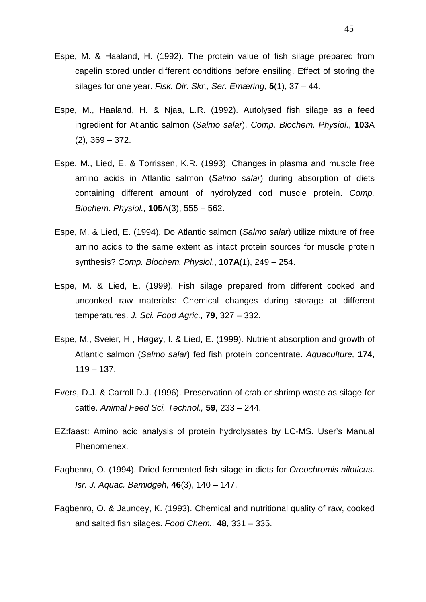- Espe, M. & Haaland, H. (1992). The protein value of fish silage prepared from capelin stored under different conditions before ensiling. Effect of storing the silages for one year. Fisk. Dir. Skr., Ser. Emæring, **5**(1), 37 – 44.
- Espe, M., Haaland, H. & Njaa, L.R. (1992). Autolysed fish silage as a feed ingredient for Atlantic salmon (Salmo salar). Comp. Biochem. Physiol., **103**A (2), 369 – 372.
- Espe, M., Lied, E. & Torrissen, K.R. (1993). Changes in plasma and muscle free amino acids in Atlantic salmon (Salmo salar) during absorption of diets containing different amount of hydrolyzed cod muscle protein. Comp. Biochem. Physiol., **105**A(3), 555 – 562.
- Espe, M. & Lied, E. (1994). Do Atlantic salmon (Salmo salar) utilize mixture of free amino acids to the same extent as intact protein sources for muscle protein synthesis? Comp. Biochem. Physiol., **107A**(1), 249 – 254.
- Espe, M. & Lied, E. (1999). Fish silage prepared from different cooked and uncooked raw materials: Chemical changes during storage at different temperatures. J. Sci. Food Agric., **79**, 327 – 332.
- Espe, M., Sveier, H., Høgøy, I. & Lied, E. (1999). Nutrient absorption and growth of Atlantic salmon (Salmo salar) fed fish protein concentrate. Aquaculture, **174**,  $119 - 137.$
- Evers, D.J. & Carroll D.J. (1996). Preservation of crab or shrimp waste as silage for cattle. Animal Feed Sci. Technol., **59**, 233 – 244.
- EZ:faast: Amino acid analysis of protein hydrolysates by LC-MS. User's Manual Phenomenex.
- Fagbenro, O. (1994). Dried fermented fish silage in diets for Oreochromis niloticus. Isr. J. Aquac. Bamidgeh, **46**(3), 140 – 147.
- Fagbenro, O. & Jauncey, K. (1993). Chemical and nutritional quality of raw, cooked and salted fish silages. Food Chem., **48**, 331 – 335.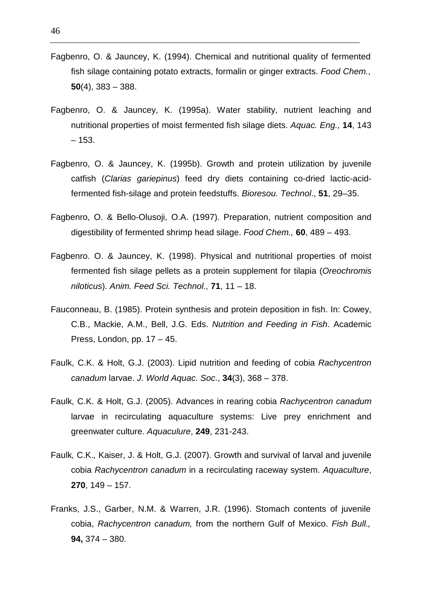- Fagbenro, O. & Jauncey, K. (1994). Chemical and nutritional quality of fermented fish silage containing potato extracts, formalin or ginger extracts. Food Chem., **50**(4), 383 – 388.
- Fagbenro, O. & Jauncey, K. (1995a). Water stability, nutrient leaching and nutritional properties of moist fermented fish silage diets. Aquac. Eng., **14**, 143 – 153.
- Fagbenro, O. & Jauncey, K. (1995b). Growth and protein utilization by juvenile catfish (Clarias gariepinus) feed dry diets containing co-dried lactic-acidfermented fish-silage and protein feedstuffs. Bioresou. Technol., **51**, 29–35.
- Fagbenro, O. & Bello-Olusoji, O.A. (1997). Preparation, nutrient composition and digestibility of fermented shrimp head silage. Food Chem., **60**, 489 – 493.
- Fagbenro. O. & Jauncey, K. (1998). Physical and nutritional properties of moist fermented fish silage pellets as a protein supplement for tilapia (Oreochromis niloticus). Anim. Feed Sci. Technol., **71**, 11 – 18.
- Fauconneau, B. (1985). Protein synthesis and protein deposition in fish. In: Cowey, C.B., Mackie, A.M., Bell, J.G. Eds. Nutrition and Feeding in Fish. Academic Press, London, pp. 17 – 45.
- Faulk, C.K. & Holt, G.J. (2003). Lipid nutrition and feeding of cobia Rachycentron canadum larvae. J. World Aquac. Soc., **34**(3), 368 – 378.
- Faulk, C.K. & Holt, G.J. (2005). Advances in rearing cobia Rachycentron canadum larvae in recirculating aquaculture systems: Live prey enrichment and greenwater culture. Aquaculure, **249**, 231-243.
- Faulk, C.K., Kaiser, J. & Holt, G.J. (2007). Growth and survival of larval and juvenile cobia Rachycentron canadum in a recirculating raceway system. Aquaculture, **270**, 149 – 157.
- Franks, J.S., Garber, N.M. & Warren, J.R. (1996). Stomach contents of juvenile cobia, Rachycentron canadum, from the northern Gulf of Mexico. Fish Bull., **94,** 374 – 380.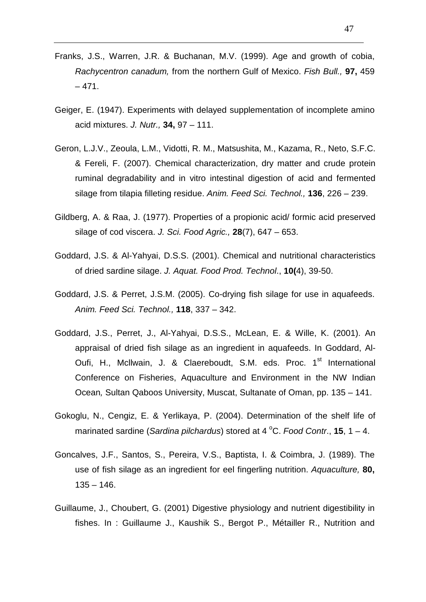- Franks, J.S., Warren, J.R. & Buchanan, M.V. (1999). Age and growth of cobia, Rachycentron canadum, from the northern Gulf of Mexico. Fish Bull., **97,** 459  $-471.$
- Geiger, E. (1947). Experiments with delayed supplementation of incomplete amino acid mixtures. J. Nutr., **34,** 97 – 111.
- Geron, L.J.V., Zeoula, L.M., Vidotti, R. M., Matsushita, M., Kazama, R., Neto, S.F.C. & Fereli, F. (2007). Chemical characterization, dry matter and crude protein ruminal degradability and in vitro intestinal digestion of acid and fermented silage from tilapia filleting residue. Anim. Feed Sci. Technol., **136**, 226 – 239.
- Gildberg, A. & Raa, J. (1977). Properties of a propionic acid/ formic acid preserved silage of cod viscera. J. Sci. Food Agric., **28**(7), 647 – 653.
- Goddard, J.S. & Al-Yahyai, D.S.S. (2001). Chemical and nutritional characteristics of dried sardine silage. J. Aquat. Food Prod. Technol., **10(**4), 39-50.
- Goddard, J.S. & Perret, J.S.M. (2005). Co-drying fish silage for use in aquafeeds. Anim. Feed Sci. Technol., **118**, 337 – 342.
- Goddard, J.S., Perret, J., Al-Yahyai, D.S.S., McLean, E. & Wille, K. (2001). An appraisal of dried fish silage as an ingredient in aquafeeds. In Goddard, Al-Oufi, H., Mcllwain, J. & Claereboudt, S.M. eds. Proc. 1<sup>st</sup> International Conference on Fisheries, Aquaculture and Environment in the NW Indian Ocean, Sultan Qaboos University, Muscat, Sultanate of Oman, pp. 135 – 141.
- Gokoglu, N., Cengiz, E. & Yerlikaya, P. (2004). Determination of the shelf life of marinated sardine (Sardina pilchardus) stored at  $4^{\circ}$ C. Food Contr., **15**, 1 – 4.
- Goncalves, J.F., Santos, S., Pereira, V.S., Baptista, I. & Coimbra, J. (1989). The use of fish silage as an ingredient for eel fingerling nutrition. Aquaculture, **80,**  $135 - 146.$
- Guillaume, J., Choubert, G. (2001) Digestive physiology and nutrient digestibility in fishes. In : Guillaume J., Kaushik S., Bergot P., Métailler R., Nutrition and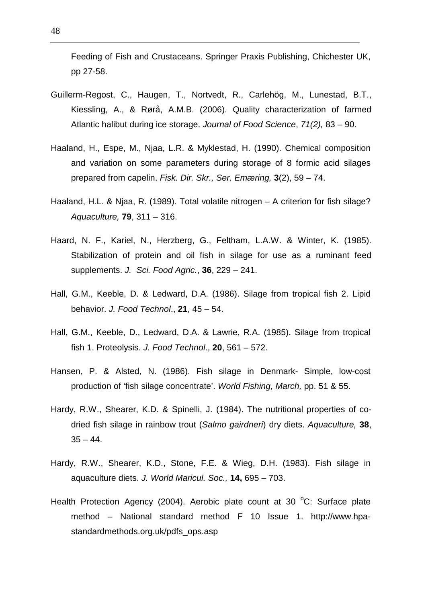Feeding of Fish and Crustaceans. Springer Praxis Publishing, Chichester UK, pp 27-58.

- Guillerm-Regost, C., Haugen, T., Nortvedt, R., Carlehög, M., Lunestad, B.T., Kiessling, A., & Rørå, A.M.B. (2006). Quality characterization of farmed Atlantic halibut during ice storage. Journal of Food Science, 71(2), 83 – 90.
- Haaland, H., Espe, M., Njaa, L.R. & Myklestad, H. (1990). Chemical composition and variation on some parameters during storage of 8 formic acid silages prepared from capelin. Fisk. Dir. Skr., Ser. Emæring, **3**(2), 59 – 74.
- Haaland, H.L. & Njaa, R. (1989). Total volatile nitrogen A criterion for fish silage? Aquaculture, **79**, 311 – 316.
- Haard, N. F., Kariel, N., Herzberg, G., Feltham, L.A.W. & Winter, K. (1985). Stabilization of protein and oil fish in silage for use as a ruminant feed supplements. J. Sci. Food Agric., **36**, 229 – 241.
- Hall, G.M., Keeble, D. & Ledward, D.A. (1986). Silage from tropical fish 2. Lipid behavior. J. Food Technol., **21**, 45 – 54.
- Hall, G.M., Keeble, D., Ledward, D.A. & Lawrie, R.A. (1985). Silage from tropical fish 1. Proteolysis. J. Food Technol., **20**, 561 – 572.
- Hansen, P. & Alsted, N. (1986). Fish silage in Denmark- Simple, low-cost production of 'fish silage concentrate'. World Fishing, March, pp. 51 & 55.
- Hardy, R.W., Shearer, K.D. & Spinelli, J. (1984). The nutritional properties of codried fish silage in rainbow trout (Salmo gairdneri) dry diets. Aquaculture, **38**,  $35 - 44.$
- Hardy, R.W., Shearer, K.D., Stone, F.E. & Wieg, D.H. (1983). Fish silage in aquaculture diets. J. World Maricul. Soc., **14,** 695 – 703.
- Health Protection Agency (2004). Aerobic plate count at 30  $^{\circ}$ C: Surface plate method – National standard method F 10 Issue 1. http://www.hpastandardmethods.org.uk/pdfs\_ops.asp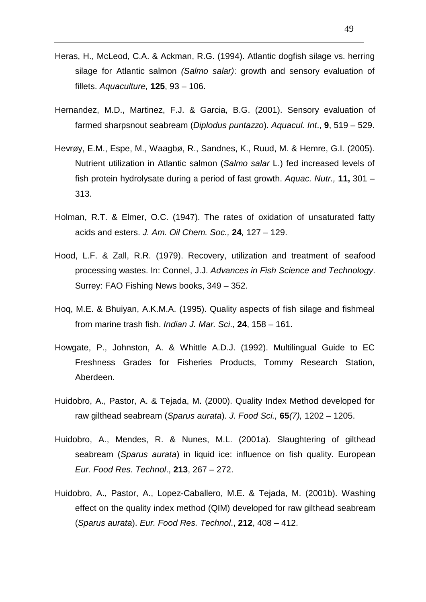- Heras, H., McLeod, C.A. & Ackman, R.G. (1994). Atlantic dogfish silage vs. herring silage for Atlantic salmon (Salmo salar): growth and sensory evaluation of fillets. Aquaculture, **125**, 93 – 106.
- Hernandez, M.D., Martinez, F.J. & Garcia, B.G. (2001). Sensory evaluation of farmed sharpsnout seabream (Diplodus puntazzo). Aquacul. Int., **9**, 519 – 529.
- Hevrøy, E.M., Espe, M., Waagbø, R., Sandnes, K., Ruud, M. & Hemre, G.I. (2005). Nutrient utilization in Atlantic salmon (Salmo salar L.) fed increased levels of fish protein hydrolysate during a period of fast growth. Aquac. Nutr., **11,** 301 – 313.
- Holman, R.T. & Elmer, O.C. (1947). The rates of oxidation of unsaturated fatty acids and esters. J. Am. Oil Chem. Soc., **24**, 127 – 129.
- Hood, L.F. & Zall, R.R. (1979). Recovery, utilization and treatment of seafood processing wastes. In: Connel, J.J. Advances in Fish Science and Technology. Surrey: FAO Fishing News books, 349 – 352.
- Hoq, M.E. & Bhuiyan, A.K.M.A. (1995). Quality aspects of fish silage and fishmeal from marine trash fish. Indian J. Mar. Sci., **24**, 158 – 161.
- Howgate, P., Johnston, A. & Whittle A.D.J. (1992). Multilingual Guide to EC Freshness Grades for Fisheries Products, Tommy Research Station, Aberdeen.
- Huidobro, A., Pastor, A. & Tejada, M. (2000). Quality Index Method developed for raw gilthead seabream (Sparus aurata). J. Food Sci., **65**(7), 1202 – 1205.
- Huidobro, A., Mendes, R. & Nunes, M.L. (2001a). Slaughtering of gilthead seabream (Sparus aurata) in liquid ice: influence on fish quality. European Eur. Food Res. Technol., **213**, 267 – 272.
- Huidobro, A., Pastor, A., Lopez-Caballero, M.E. & Tejada, M. (2001b). Washing effect on the quality index method (QIM) developed for raw gilthead seabream (Sparus aurata). Eur. Food Res. Technol., **212**, 408 – 412.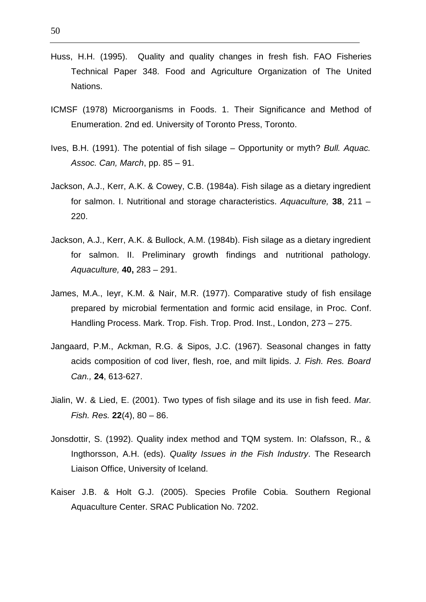- Huss, H.H. (1995). Quality and quality changes in fresh fish. FAO Fisheries Technical Paper 348. Food and Agriculture Organization of The United Nations.
- ICMSF (1978) Microorganisms in Foods. 1. Their Significance and Method of Enumeration. 2nd ed. University of Toronto Press, Toronto.
- Ives, B.H. (1991). The potential of fish silage Opportunity or myth? Bull. Aquac. Assoc. Can, March, pp. 85 – 91.
- Jackson, A.J., Kerr, A.K. & Cowey, C.B. (1984a). Fish silage as a dietary ingredient for salmon. I. Nutritional and storage characteristics. Aquaculture, **38**, 211 – 220.
- Jackson, A.J., Kerr, A.K. & Bullock, A.M. (1984b). Fish silage as a dietary ingredient for salmon. II. Preliminary growth findings and nutritional pathology. Aquaculture, **40,** 283 – 291.
- James, M.A., Ieyr, K.M. & Nair, M.R. (1977). Comparative study of fish ensilage prepared by microbial fermentation and formic acid ensilage, in Proc. Conf. Handling Process. Mark. Trop. Fish. Trop. Prod. Inst., London, 273 – 275.
- Jangaard, P.M., Ackman, R.G. & Sipos, J.C. (1967). Seasonal changes in fatty acids composition of cod liver, flesh, roe, and milt lipids. J. Fish. Res. Board Can., **24**, 613-627.
- Jialin, W. & Lied, E. (2001). Two types of fish silage and its use in fish feed. Mar. Fish. Res. **22**(4), 80 – 86.
- Jonsdottir, S. (1992). Quality index method and TQM system. In: Olafsson, R., & Ingthorsson, A.H. (eds). Quality Issues in the Fish Industry. The Research Liaison Office, University of Iceland.
- Kaiser J.B. & Holt G.J. (2005). Species Profile Cobia. Southern Regional Aquaculture Center. SRAC Publication No. 7202.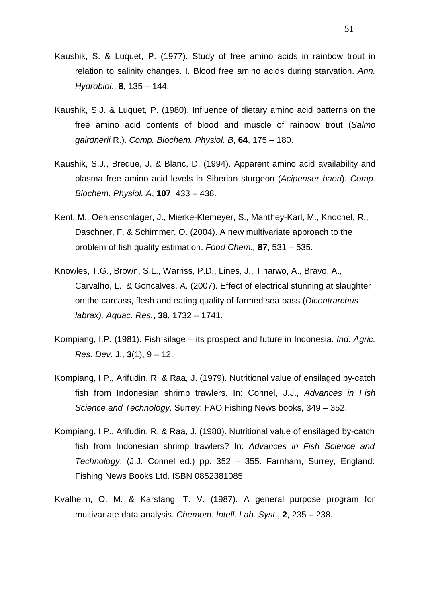- Kaushik, S. & Luquet, P. (1977). Study of free amino acids in rainbow trout in relation to salinity changes. I. Blood free amino acids during starvation. Ann. Hydrobiol., **8**, 135 – 144.
- Kaushik, S.J. & Luquet, P. (1980). Influence of dietary amino acid patterns on the free amino acid contents of blood and muscle of rainbow trout (Salmo gairdnerii R.). Comp. Biochem. Physiol. B, **64**, 175 – 180.
- Kaushik, S.J., Breque, J. & Blanc, D. (1994). Apparent amino acid availability and plasma free amino acid levels in Siberian sturgeon (Acipenser baeri). Comp. Biochem. Physiol. A, **107**, 433 – 438.
- Kent, M., Oehlenschlager, J., Mierke-Klemeyer, S., Manthey-Karl, M., Knochel, R., Daschner, F. & Schimmer, O. (2004). A new multivariate approach to the problem of fish quality estimation. Food Chem., **87**, 531 – 535.
- Knowles, T.G., Brown, S.L., Warriss, P.D., Lines, J., Tinarwo, A., Bravo, A., Carvalho, L. & Goncalves, A. (2007). Effect of electrical stunning at slaughter on the carcass, flesh and eating quality of farmed sea bass (Dicentrarchus labrax). Aquac. Res., **38**, 1732 – 1741.
- Kompiang, I.P. (1981). Fish silage its prospect and future in Indonesia. Ind. Agric. Res. Dev. J., **3**(1), 9 – 12.
- Kompiang, I.P., Arifudin, R. & Raa, J. (1979). Nutritional value of ensilaged by-catch fish from Indonesian shrimp trawlers. In: Connel, J.J., Advances in Fish Science and Technology. Surrey: FAO Fishing News books, 349 – 352.
- Kompiang, I.P., Arifudin, R. & Raa, J. (1980). Nutritional value of ensilaged by-catch fish from Indonesian shrimp trawlers? In: Advances in Fish Science and Technology. (J.J. Connel ed.) pp. 352 – 355. Farnham, Surrey, England: Fishing News Books Ltd. ISBN 0852381085.
- Kvalheim, O. M. & Karstang, T. V. (1987). A general purpose program for multivariate data analysis. Chemom. Intell. Lab. Syst., **2**, 235 – 238.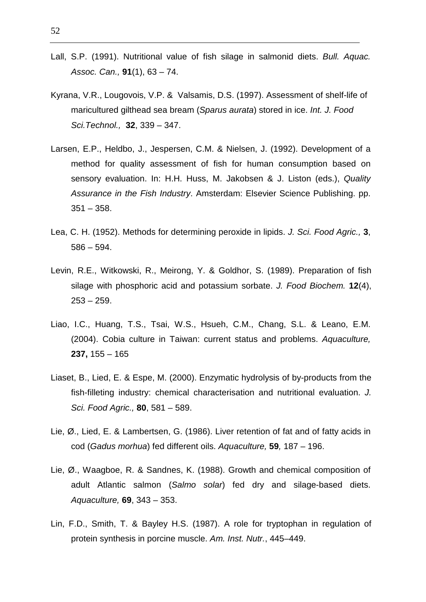- Lall, S.P. (1991). Nutritional value of fish silage in salmonid diets. Bull. Aquac. Assoc. Can., **91**(1), 63 – 74.
- Kyrana, V.R., Lougovois, V.P. & Valsamis, D.S. (1997). Assessment of shelf-life of maricultured gilthead sea bream (Sparus aurata) stored in ice. Int. J. Food Sci.Technol., **32**, 339 – 347.
- Larsen, E.P., Heldbo, J., Jespersen, C.M. & Nielsen, J. (1992). Development of a method for quality assessment of fish for human consumption based on sensory evaluation. In: H.H. Huss, M. Jakobsen & J. Liston (eds.), Quality Assurance in the Fish Industry. Amsterdam: Elsevier Science Publishing. pp.  $351 - 358$ .
- Lea, C. H. (1952). Methods for determining peroxide in lipids. J. Sci. Food Agric., **3**, 586 – 594.
- Levin, R.E., Witkowski, R., Meirong, Y. & Goldhor, S. (1989). Preparation of fish silage with phosphoric acid and potassium sorbate. J. Food Biochem. **12**(4),  $253 - 259.$
- Liao, I.C., Huang, T.S., Tsai, W.S., Hsueh, C.M., Chang, S.L. & Leano, E.M. (2004). Cobia culture in Taiwan: current status and problems. Aquaculture, **237,** 155 – 165
- Liaset, B., Lied, E. & Espe, M. (2000). Enzymatic hydrolysis of by-products from the fish-filleting industry: chemical characterisation and nutritional evaluation. J. Sci. Food Agric., **80**, 581 – 589.
- Lie, Ø., Lied, E. & Lambertsen, G. (1986). Liver retention of fat and of fatty acids in cod (Gadus morhua) fed different oils. Aquaculture, **59**, 187 – 196.
- Lie, Ø., Waagboe, R. & Sandnes, K. (1988). Growth and chemical composition of adult Atlantic salmon (Salmo solar) fed dry and silage-based diets. Aquaculture, **69**, 343 – 353.
- Lin, F.D., Smith, T. & Bayley H.S. (1987). A role for tryptophan in regulation of protein synthesis in porcine muscle. Am. Inst. Nutr., 445–449.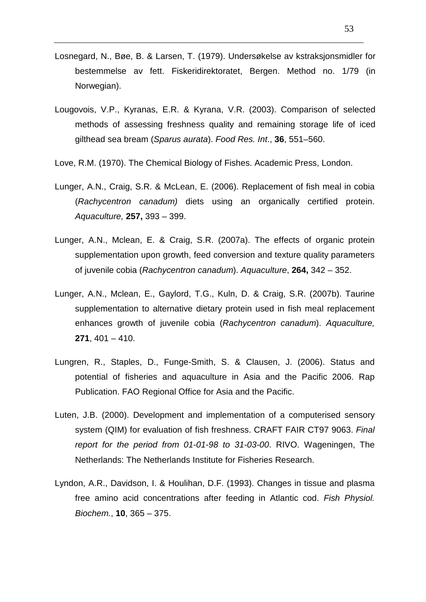- Losnegard, N., Bøe, B. & Larsen, T. (1979). Undersøkelse av kstraksjonsmidler for bestemmelse av fett. Fiskeridirektoratet, Bergen. Method no. 1/79 (in Norwegian).
- Lougovois, V.P., Kyranas, E.R. & Kyrana, V.R. (2003). Comparison of selected methods of assessing freshness quality and remaining storage life of iced gilthead sea bream (Sparus aurata). Food Res. Int., **36**, 551–560.
- Love, R.M. (1970). The Chemical Biology of Fishes. Academic Press, London.
- Lunger, A.N., Craig, S.R. & McLean, E. (2006). Replacement of fish meal in cobia (Rachycentron canadum) diets using an organically certified protein. Aquaculture, **257,** 393 – 399.
- Lunger, A.N., Mclean, E. & Craig, S.R. (2007a). The effects of organic protein supplementation upon growth, feed conversion and texture quality parameters of juvenile cobia (Rachycentron canadum). Aquaculture, **264,** 342 – 352.
- Lunger, A.N., Mclean, E., Gaylord, T.G., Kuln, D. & Craig, S.R. (2007b). Taurine supplementation to alternative dietary protein used in fish meal replacement enhances growth of juvenile cobia (Rachycentron canadum). Aquaculture, **271**, 401 – 410.
- Lungren, R., Staples, D., Funge-Smith, S. & Clausen, J. (2006). Status and potential of fisheries and aquaculture in Asia and the Pacific 2006. Rap Publication. FAO Regional Office for Asia and the Pacific.
- Luten, J.B. (2000). Development and implementation of a computerised sensory system (QIM) for evaluation of fish freshness. CRAFT FAIR CT97 9063. Final report for the period from 01-01-98 to 31-03-00. RIVO. Wageningen, The Netherlands: The Netherlands Institute for Fisheries Research.
- Lyndon, A.R., Davidson, I. & Houlihan, D.F. (1993). Changes in tissue and plasma free amino acid concentrations after feeding in Atlantic cod. Fish Physiol. Biochem., **10**, 365 – 375.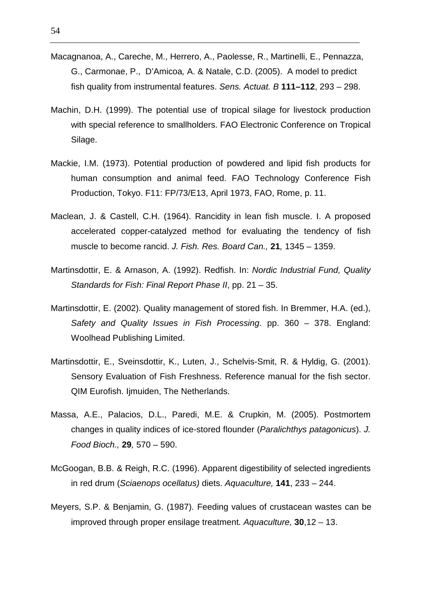- Macagnanoa, A., Careche, M., Herrero, A., Paolesse, R., Martinelli, E., Pennazza, G., Carmonae, P., D'Amicoa, A. & Natale, C.D. (2005). A model to predict fish quality from instrumental features. Sens. Actuat. B **111–112**, 293 – 298.
- Machin, D.H. (1999). The potential use of tropical silage for livestock production with special reference to smallholders. FAO Electronic Conference on Tropical Silage.
- Mackie, I.M. (1973). Potential production of powdered and lipid fish products for human consumption and animal feed. FAO Technology Conference Fish Production, Tokyo. F11: FP/73/E13, April 1973, FAO, Rome, p. 11.
- Maclean, J. & Castell, C.H. (1964). Rancidity in lean fish muscle. I. A proposed accelerated copper-catalyzed method for evaluating the tendency of fish muscle to become rancid. J. Fish. Res. Board Can., **21**, 1345 – 1359.
- Martinsdottir, E. & Arnason, A. (1992). Redfish. In: Nordic Industrial Fund, Quality Standards for Fish: Final Report Phase II, pp. 21 – 35.
- Martinsdottir, E. (2002). Quality management of stored fish. In Bremmer, H.A. (ed.), Safety and Quality Issues in Fish Processing. pp. 360 – 378. England: Woolhead Publishing Limited.
- Martinsdottir, E., Sveinsdottir, K., Luten, J., Schelvis-Smit, R. & Hyldig, G. (2001). Sensory Evaluation of Fish Freshness. Reference manual for the fish sector. QIM Eurofish. Ijmuiden, The Netherlands.
- Massa, A.E., Palacios, D.L., Paredi, M.E. & Crupkin, M. (2005). Postmortem changes in quality indices of ice-stored flounder (Paralichthys patagonicus). J. Food Bioch., **29**, 570 – 590.
- McGoogan, B.B. & Reigh, R.C. (1996). Apparent digestibility of selected ingredients in red drum (Sciaenops ocellatus) diets. Aquaculture, **141**, 233 – 244.
- Meyers, S.P. & Benjamin, G. (1987). Feeding values of crustacean wastes can be improved through proper ensilage treatment. Aquaculture, **30**,12 – 13.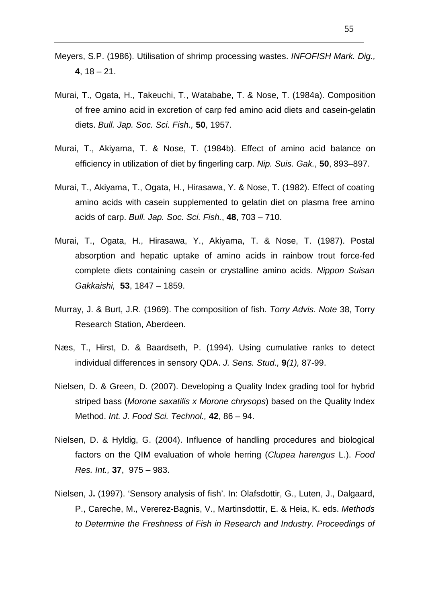- Meyers, S.P. (1986). Utilisation of shrimp processing wastes. INFOFISH Mark. Dig., **4**, 18 – 21.
- Murai, T., Ogata, H., Takeuchi, T., Watababe, T. & Nose, T. (1984a). Composition of free amino acid in excretion of carp fed amino acid diets and casein-gelatin diets. Bull. Jap. Soc. Sci. Fish., **50**, 1957.
- Murai, T., Akiyama, T. & Nose, T. (1984b). Effect of amino acid balance on efficiency in utilization of diet by fingerling carp. Nip. Suis. Gak., **50**, 893–897.
- Murai, T., Akiyama, T., Ogata, H., Hirasawa, Y. & Nose, T. (1982). Effect of coating amino acids with casein supplemented to gelatin diet on plasma free amino acids of carp. Bull. Jap. Soc. Sci. Fish., **48**, 703 – 710.
- Murai, T., Ogata, H., Hirasawa, Y., Akiyama, T. & Nose, T. (1987). Postal absorption and hepatic uptake of amino acids in rainbow trout force-fed complete diets containing casein or crystalline amino acids. Nippon Suisan Gakkaishi, **53**, 1847 – 1859.
- Murray, J. & Burt, J.R. (1969). The composition of fish. Torry Advis. Note 38, Torry Research Station, Aberdeen.
- Næs, T., Hirst, D. & Baardseth, P. (1994). Using cumulative ranks to detect individual differences in sensory QDA. J. Sens. Stud., **9**(1), 87-99.
- Nielsen, D. & Green, D. (2007). Developing a Quality Index grading tool for hybrid striped bass (Morone saxatilis x Morone chrysops) based on the Quality Index Method. Int. J. Food Sci. Technol., **42**, 86 – 94.
- Nielsen, D. & Hyldig, G. (2004). Influence of handling procedures and biological factors on the QIM evaluation of whole herring (Clupea harengus L.). Food Res. Int., **37**, 975 – 983.
- Nielsen, J**.** (1997). 'Sensory analysis of fish'. In: Olafsdottir, G., Luten, J., Dalgaard, P., Careche, M., Vererez-Bagnis, V., Martinsdottir, E. & Heia, K. eds. Methods to Determine the Freshness of Fish in Research and Industry. Proceedings of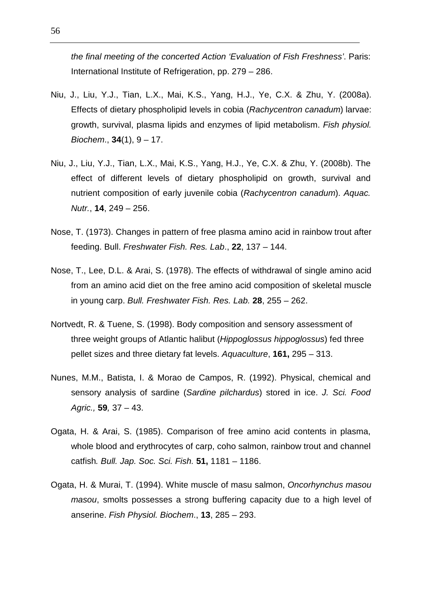the final meeting of the concerted Action 'Evaluation of Fish Freshness'. Paris: International Institute of Refrigeration, pp. 279 – 286.

- Niu, J., Liu, Y.J., Tian, L.X., Mai, K.S., Yang, H.J., Ye, C.X. & Zhu, Y. (2008a). Effects of dietary phospholipid levels in cobia (Rachycentron canadum) larvae: growth, survival, plasma lipids and enzymes of lipid metabolism. Fish physiol. Biochem., **34**(1), 9 – 17.
- Niu, J., Liu, Y.J., Tian, L.X., Mai, K.S., Yang, H.J., Ye, C.X. & Zhu, Y. (2008b). The effect of different levels of dietary phospholipid on growth, survival and nutrient composition of early juvenile cobia (Rachycentron canadum). Aquac. Nutr., **14**, 249 – 256.
- Nose, T. (1973). Changes in pattern of free plasma amino acid in rainbow trout after feeding. Bull. Freshwater Fish. Res. Lab., **22**, 137 – 144.
- Nose, T., Lee, D.L. & Arai, S. (1978). The effects of withdrawal of single amino acid from an amino acid diet on the free amino acid composition of skeletal muscle in young carp. Bull. Freshwater Fish. Res. Lab. **28**, 255 – 262.
- Nortvedt, R. & Tuene, S. (1998). Body composition and sensory assessment of three weight groups of Atlantic halibut (Hippoglossus hippoglossus) fed three pellet sizes and three dietary fat levels. Aquaculture, **161,** 295 – 313.
- Nunes, M.M., Batista, I. & Morao de Campos, R. (1992). Physical, chemical and sensory analysis of sardine (Sardine pilchardus) stored in ice. J. Sci. Food Agric., **59**, 37 – 43.
- Ogata, H. & Arai, S. (1985). Comparison of free amino acid contents in plasma, whole blood and erythrocytes of carp, coho salmon, rainbow trout and channel catfish. Bull. Jap. Soc. Sci. Fish. **51,** 1181 – 1186.
- Ogata, H. & Murai, T. (1994). White muscle of masu salmon, Oncorhynchus masou masou, smolts possesses a strong buffering capacity due to a high level of anserine. Fish Physiol. Biochem., **13**, 285 – 293.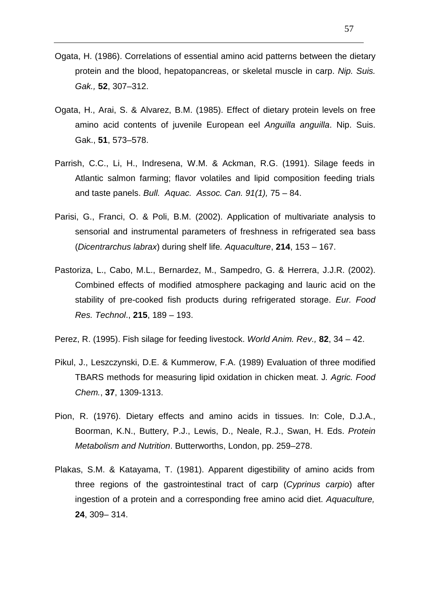- Ogata, H. (1986). Correlations of essential amino acid patterns between the dietary protein and the blood, hepatopancreas, or skeletal muscle in carp. Nip. Suis. Gak., **52**, 307–312.
- Ogata, H., Arai, S. & Alvarez, B.M. (1985). Effect of dietary protein levels on free amino acid contents of juvenile European eel Anguilla anguilla. Nip. Suis. Gak., **51**, 573–578.
- Parrish, C.C., Li, H., Indresena, W.M. & Ackman, R.G. (1991). Silage feeds in Atlantic salmon farming; flavor volatiles and lipid composition feeding trials and taste panels. Bull. Aquac. Assoc. Can. 91(1), 75 – 84.
- Parisi, G., Franci, O. & Poli, B.M. (2002). Application of multivariate analysis to sensorial and instrumental parameters of freshness in refrigerated sea bass (Dicentrarchus labrax) during shelf life. Aquaculture, **214**, 153 – 167.
- Pastoriza, L., Cabo, M.L., Bernardez, M., Sampedro, G. & Herrera, J.J.R. (2002). Combined effects of modified atmosphere packaging and lauric acid on the stability of pre-cooked fish products during refrigerated storage. Eur. Food Res. Technol., **215**, 189 – 193.
- Perez, R. (1995). Fish silage for feeding livestock. World Anim. Rev., **82**, 34 42.
- Pikul, J., Leszczynski, D.E. & Kummerow, F.A. (1989) Evaluation of three modified TBARS methods for measuring lipid oxidation in chicken meat. J. Agric. Food Chem., **37**, 1309-1313.
- Pion, R. (1976). Dietary effects and amino acids in tissues. In: Cole, D.J.A., Boorman, K.N., Buttery, P.J., Lewis, D., Neale, R.J., Swan, H. Eds. Protein Metabolism and Nutrition. Butterworths, London, pp. 259–278.
- Plakas, S.M. & Katayama, T. (1981). Apparent digestibility of amino acids from three regions of the gastrointestinal tract of carp (Cyprinus carpio) after ingestion of a protein and a corresponding free amino acid diet. Aquaculture, **24**, 309– 314.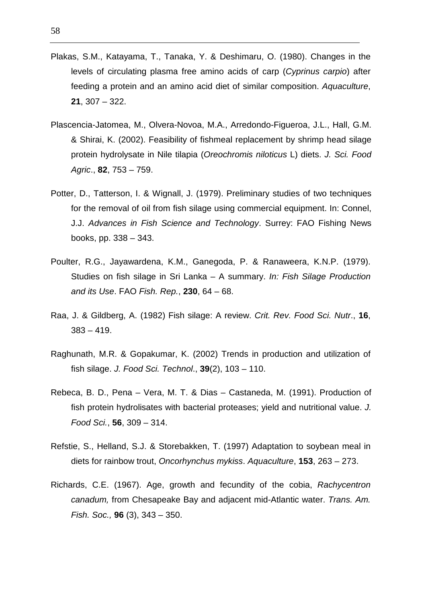- Plakas, S.M., Katayama, T., Tanaka, Y. & Deshimaru, O. (1980). Changes in the levels of circulating plasma free amino acids of carp (Cyprinus carpio) after feeding a protein and an amino acid diet of similar composition. Aquaculture, **21**, 307 – 322.
- Plascencia-Jatomea, M., Olvera-Novoa, M.A., Arredondo-Figueroa, J.L., Hall, G.M. & Shirai, K. (2002). Feasibility of fishmeal replacement by shrimp head silage protein hydrolysate in Nile tilapia (Oreochromis niloticus L) diets. J. Sci. Food Agric., **82**, 753 – 759.
- Potter, D., Tatterson, I. & Wignall, J. (1979). Preliminary studies of two techniques for the removal of oil from fish silage using commercial equipment. In: Connel, J.J. Advances in Fish Science and Technology. Surrey: FAO Fishing News books, pp. 338 – 343.
- Poulter, R.G., Jayawardena, K.M., Ganegoda, P. & Ranaweera, K.N.P. (1979). Studies on fish silage in Sri Lanka – A summary. In: Fish Silage Production and its Use. FAO Fish. Rep., **230**, 64 – 68.
- Raa, J. & Gildberg, A. (1982) Fish silage: A review. Crit. Rev. Food Sci. Nutr., **16**,  $383 - 419.$
- Raghunath, M.R. & Gopakumar, K. (2002) Trends in production and utilization of fish silage. J. Food Sci. Technol., **39**(2), 103 – 110.
- Rebeca, B. D., Pena Vera, M. T. & Dias Castaneda, M. (1991). Production of fish protein hydrolisates with bacterial proteases; yield and nutritional value. J. Food Sci., **56**, 309 – 314.
- Refstie, S., Helland, S.J. & Storebakken, T. (1997) Adaptation to soybean meal in diets for rainbow trout, Oncorhynchus mykiss. Aquaculture, **153**, 263 – 273.
- Richards, C.E. (1967). Age, growth and fecundity of the cobia, Rachycentron canadum, from Chesapeake Bay and adjacent mid-Atlantic water. Trans. Am. Fish. Soc., **96** (3), 343 – 350.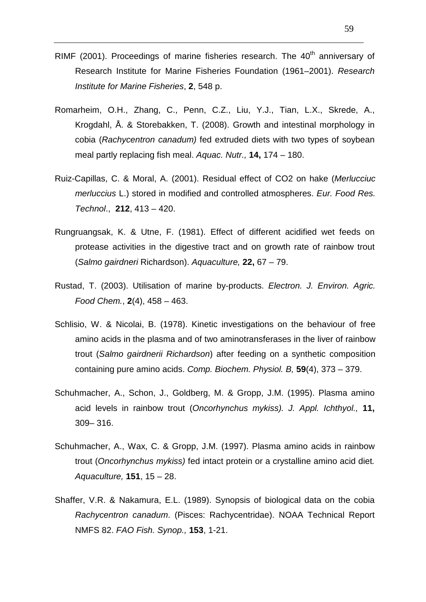- RIMF (2001). Proceedings of marine fisheries research. The  $40<sup>th</sup>$  anniversary of Research Institute for Marine Fisheries Foundation (1961–2001). Research Institute for Marine Fisheries, **2**, 548 p.
- Romarheim, O.H., Zhang, C., Penn, C.Z., Liu, Y.J., Tian, L.X., Skrede, A., Krogdahl, Å. & Storebakken, T. (2008). Growth and intestinal morphology in cobia (Rachycentron canadum) fed extruded diets with two types of soybean meal partly replacing fish meal. Aquac. Nutr., **14,** 174 – 180.
- Ruiz-Capillas, C. & Moral, A. (2001). Residual effect of CO2 on hake (Merlucciuc merluccius L.) stored in modified and controlled atmospheres. Eur. Food Res. Technol., **212**, 413 – 420.
- Rungruangsak, K. & Utne, F. (1981). Effect of different acidified wet feeds on protease activities in the digestive tract and on growth rate of rainbow trout (Salmo gairdneri Richardson). Aquaculture, **22,** 67 – 79.
- Rustad, T. (2003). Utilisation of marine by-products. Electron. J. Environ. Agric. Food Chem., **2**(4), 458 – 463.
- Schlisio, W. & Nicolai, B. (1978). Kinetic investigations on the behaviour of free amino acids in the plasma and of two aminotransferases in the liver of rainbow trout (Salmo gairdnerii Richardson) after feeding on a synthetic composition containing pure amino acids. Comp. Biochem. Physiol. B, **59**(4), 373 – 379.
- Schuhmacher, A., Schon, J., Goldberg, M. & Gropp, J.M. (1995). Plasma amino acid levels in rainbow trout (Oncorhynchus mykiss). J. Appl. Ichthyol., **11,** 309– 316.
- Schuhmacher, A., Wax, C. & Gropp, J.M. (1997). Plasma amino acids in rainbow trout (Oncorhynchus mykiss) fed intact protein or a crystalline amino acid diet. Aquaculture, **151**, 15 – 28.
- Shaffer, V.R. & Nakamura, E.L. (1989). Synopsis of biological data on the cobia Rachycentron canadum. (Pisces: Rachycentridae). NOAA Technical Report NMFS 82. FAO Fish. Synop., **153**, 1-21.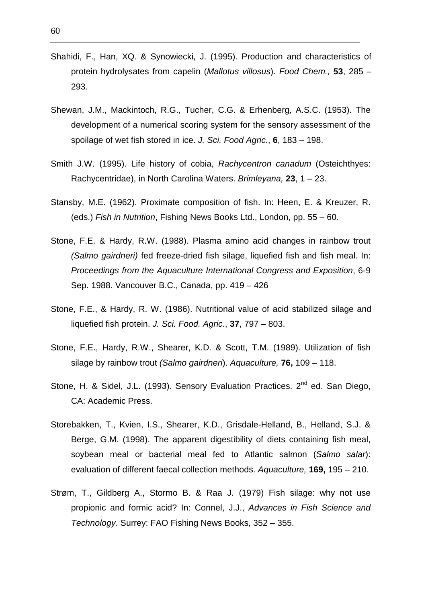- Shahidi, F., Han, XQ. & Synowiecki, J. (1995). Production and characteristics of protein hydrolysates from capelin (Mallotus villosus). Food Chem., **53**, 285 – 293.
- Shewan, J.M., Mackintoch, R.G., Tucher, C.G. & Erhenberg, A.S.C. (1953). The development of a numerical scoring system for the sensory assessment of the spoilage of wet fish stored in ice. J. Sci. Food Agric., **6**, 183 – 198.
- Smith J.W. (1995). Life history of cobia, Rachycentron canadum (Osteichthyes: Rachycentridae), in North Carolina Waters. Brimleyana, **23**, 1 – 23.
- Stansby, M.E. (1962). Proximate composition of fish. In: Heen, E. & Kreuzer, R. (eds.) Fish in Nutrition, Fishing News Books Ltd., London, pp. 55 – 60.
- Stone, F.E. & Hardy, R.W. (1988). Plasma amino acid changes in rainbow trout (Salmo gairdneri) fed freeze-dried fish silage, liquefied fish and fish meal. In: Proceedings from the Aquaculture International Congress and Exposition, 6-9 Sep. 1988. Vancouver B.C., Canada, pp. 419 – 426
- Stone, F.E., & Hardy, R. W. (1986). Nutritional value of acid stabilized silage and liquefied fish protein. J. Sci. Food. Agric., **37**, 797 – 803.
- Stone, F.E., Hardy, R.W., Shearer, K.D. & Scott, T.M. (1989). Utilization of fish silage by rainbow trout (Salmo gairdneri). Aquaculture, **76,** 109 – 118.
- Stone, H. & Sidel, J.L. (1993). Sensory Evaluation Practices.  $2^{nd}$  ed. San Diego, CA: Academic Press.
- Storebakken, T., Kvien, I.S., Shearer, K.D., Grisdale-Helland, B., Helland, S.J. & Berge, G.M. (1998). The apparent digestibility of diets containing fish meal, soybean meal or bacterial meal fed to Atlantic salmon (Salmo salar): evaluation of different faecal collection methods. Aquaculture, **169,** 195 – 210.
- Strøm, T., Gildberg A., Stormo B. & Raa J. (1979) Fish silage: why not use propionic and formic acid? In: Connel, J.J., Advances in Fish Science and Technology. Surrey: FAO Fishing News Books, 352 – 355.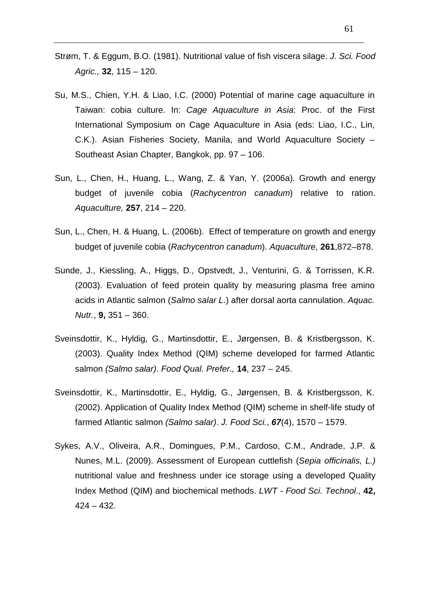- Strøm, T. & Eggum, B.O. (1981). Nutritional value of fish viscera silage. J. Sci. Food Agric., **32**, 115 – 120.
- Su, M.S., Chien, Y.H. & Liao, I.C. (2000) Potential of marine cage aquaculture in Taiwan: cobia culture. In: Cage Aquaculture in Asia: Proc. of the First International Symposium on Cage Aquaculture in Asia (eds: Liao, I.C., Lin, C.K.). Asian Fisheries Society, Manila, and World Aquaculture Society – Southeast Asian Chapter, Bangkok, pp. 97 – 106.
- Sun, L., Chen, H., Huang, L., Wang, Z. & Yan, Y. (2006a). Growth and energy budget of juvenile cobia (Rachycentron canadum) relative to ration. Aquaculture, **257**, 214 – 220.
- Sun, L., Chen, H. & Huang, L. (2006b). Effect of temperature on growth and energy budget of juvenile cobia (Rachycentron canadum). Aquaculture, **261**,872–878.
- Sunde, J., Kiessling, A., Higgs, D., Opstvedt, J., Venturini, G. & Torrissen, K.R. (2003). Evaluation of feed protein quality by measuring plasma free amino acids in Atlantic salmon (Salmo salar L.) after dorsal aorta cannulation. Aquac. Nutr., **9,** 351 – 360.
- Sveinsdottir, K., Hyldig, G., Martinsdottir, E., Jørgensen, B. & Kristbergsson, K. (2003). Quality Index Method (QIM) scheme developed for farmed Atlantic salmon (Salmo salar). Food Qual. Prefer., **14**, 237 – 245.
- Sveinsdottir, K., Martinsdottir, E., Hyldig, G., Jørgensen, B. & Kristbergsson, K. (2002). Application of Quality Index Method (QIM) scheme in shelf-life study of farmed Atlantic salmon (Salmo salar). J. Food Sci., **67**(4), 1570 – 1579.
- Sykes, A.V., Oliveira, A.R., Domingues, P.M., Cardoso, C.M., Andrade, J.P. & Nunes, M.L. (2009). Assessment of European cuttlefish (Sepia officinalis, L.) nutritional value and freshness under ice storage using a developed Quality Index Method (QIM) and biochemical methods. LWT - Food Sci. Technol., **42,** 424 – 432.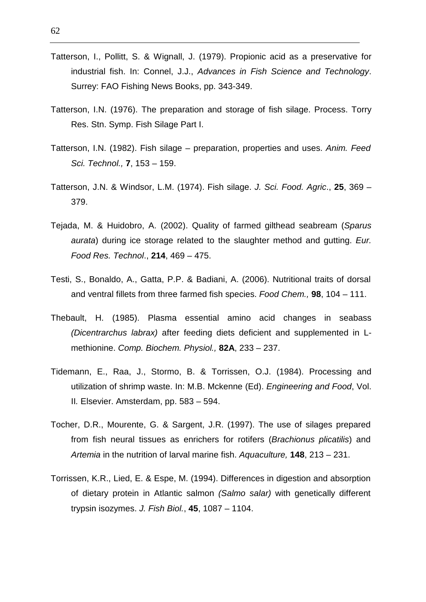- Tatterson, I., Pollitt, S. & Wignall, J. (1979). Propionic acid as a preservative for industrial fish. In: Connel, J.J., Advances in Fish Science and Technology. Surrey: FAO Fishing News Books, pp. 343-349.
- Tatterson, I.N. (1976). The preparation and storage of fish silage. Process. Torry Res. Stn. Symp. Fish Silage Part I.
- Tatterson, I.N. (1982). Fish silage preparation, properties and uses. Anim. Feed Sci. Technol., **7**, 153 – 159.
- Tatterson, J.N. & Windsor, L.M. (1974). Fish silage. J. Sci. Food. Agric., **25**, 369 379.
- Tejada, M. & Huidobro, A. (2002). Quality of farmed gilthead seabream (Sparus aurata) during ice storage related to the slaughter method and gutting. Eur. Food Res. Technol., **214**, 469 – 475.
- Testi, S., Bonaldo, A., Gatta, P.P. & Badiani, A. (2006). Nutritional traits of dorsal and ventral fillets from three farmed fish species. Food Chem., **98**, 104 – 111.
- Thebault, H. (1985). Plasma essential amino acid changes in seabass (Dicentrarchus labrax) after feeding diets deficient and supplemented in Lmethionine. Comp. Biochem. Physiol., **82A**, 233 – 237.
- Tidemann, E., Raa, J., Stormo, B. & Torrissen, O.J. (1984). Processing and utilization of shrimp waste. In: M.B. Mckenne (Ed). Engineering and Food, Vol. II. Elsevier. Amsterdam, pp. 583 – 594.
- Tocher, D.R., Mourente, G. & Sargent, J.R. (1997). The use of silages prepared from fish neural tissues as enrichers for rotifers (Brachionus plicatilis) and Artemia in the nutrition of larval marine fish. Aquaculture, **148**, 213 – 231.
- Torrissen, K.R., Lied, E. & Espe, M. (1994). Differences in digestion and absorption of dietary protein in Atlantic salmon (Salmo salar) with genetically different trypsin isozymes. J. Fish Biol., **45**, 1087 – 1104.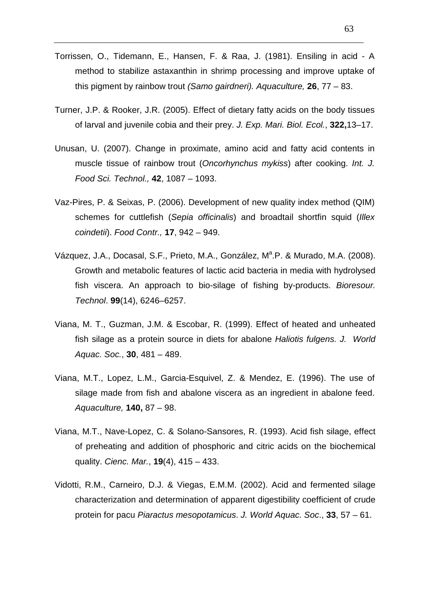- Torrissen, O., Tidemann, E., Hansen, F. & Raa, J. (1981). Ensiling in acid A method to stabilize astaxanthin in shrimp processing and improve uptake of this pigment by rainbow trout (Samo gairdneri). Aquaculture, **26**, 77 – 83.
- Turner, J.P. & Rooker, J.R. (2005). Effect of dietary fatty acids on the body tissues of larval and juvenile cobia and their prey. J. Exp. Mari. Biol. Ecol., **322,**13–17.
- Unusan, U. (2007). Change in proximate, amino acid and fatty acid contents in muscle tissue of rainbow trout (Oncorhynchus mykiss) after cooking. Int. J. Food Sci. Technol., **42**, 1087 – 1093.
- Vaz-Pires, P. & Seixas, P. (2006). Development of new quality index method (QIM) schemes for cuttlefish (Sepia officinalis) and broadtail shortfin squid (Illex coindetii). Food Contr., **17**, 942 – 949.
- Vázquez, J.A., Docasal, S.F., Prieto, M.A., González, M<sup>a</sup>.P. & Murado, M.A. (2008). Growth and metabolic features of lactic acid bacteria in media with hydrolysed fish viscera. An approach to bio-silage of fishing by-products. Bioresour. Technol. **99**(14), 6246–6257.
- Viana, M. T., Guzman, J.M. & Escobar, R. (1999). Effect of heated and unheated fish silage as a protein source in diets for abalone Haliotis fulgens. J. World Aquac. Soc., **30**, 481 – 489.
- Viana, M.T., Lopez, L.M., Garcia-Esquivel, Z. & Mendez, E. (1996). The use of silage made from fish and abalone viscera as an ingredient in abalone feed. Aquaculture, **140,** 87 – 98.
- Viana, M.T., Nave-Lopez, C. & Solano-Sansores, R. (1993). Acid fish silage, effect of preheating and addition of phosphoric and citric acids on the biochemical quality. Cienc. Mar., **19**(4), 415 – 433.
- Vidotti, R.M., Carneiro, D.J. & Viegas, E.M.M. (2002). Acid and fermented silage characterization and determination of apparent digestibility coefficient of crude protein for pacu Piaractus mesopotamicus. J. World Aquac. Soc., **33**, 57 – 61.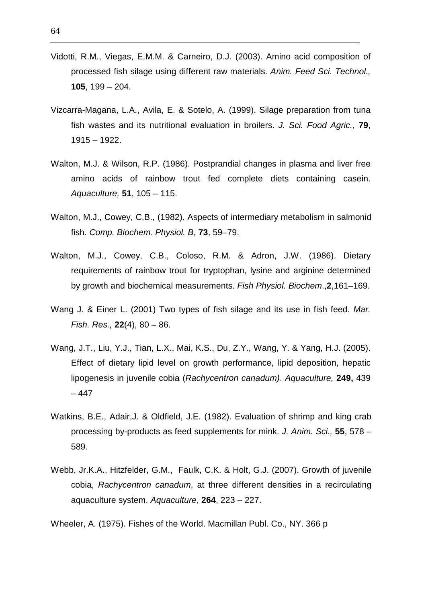- Vidotti, R.M., Viegas, E.M.M. & Carneiro, D.J. (2003). Amino acid composition of processed fish silage using different raw materials. Anim. Feed Sci. Technol., **105**, 199 – 204.
- Vizcarra-Magana, L.A., Avila, E. & Sotelo, A. (1999). Silage preparation from tuna fish wastes and its nutritional evaluation in broilers. J. Sci. Food Agric., **79**, 1915 – 1922.
- Walton, M.J. & Wilson, R.P. (1986). Postprandial changes in plasma and liver free amino acids of rainbow trout fed complete diets containing casein. Aquaculture, **51**, 105 – 115.
- Walton, M.J., Cowey, C.B., (1982). Aspects of intermediary metabolism in salmonid fish. Comp. Biochem. Physiol. B, **73**, 59–79.
- Walton, M.J., Cowey, C.B., Coloso, R.M. & Adron, J.W. (1986). Dietary requirements of rainbow trout for tryptophan, lysine and arginine determined by growth and biochemical measurements. Fish Physiol. Biochem.,**2**,161–169.
- Wang J. & Einer L. (2001) Two types of fish silage and its use in fish feed. Mar. Fish. Res., **22**(4), 80 – 86.
- Wang, J.T., Liu, Y.J., Tian, L.X., Mai, K.S., Du, Z.Y., Wang, Y. & Yang, H.J. (2005). Effect of dietary lipid level on growth performance, lipid deposition, hepatic lipogenesis in juvenile cobia (Rachycentron canadum). Aquaculture, **249,** 439 – 447
- Watkins, B.E., Adair,J. & Oldfield, J.E. (1982). Evaluation of shrimp and king crab processing by-products as feed supplements for mink. J. Anim. Sci., **55**, 578 – 589.
- Webb, Jr.K.A., Hitzfelder, G.M., Faulk, C.K. & Holt, G.J. (2007). Growth of juvenile cobia, Rachycentron canadum, at three different densities in a recirculating aquaculture system. Aquaculture, **264**, 223 – 227.

Wheeler, A. (1975). Fishes of the World. Macmillan Publ. Co., NY. 366 p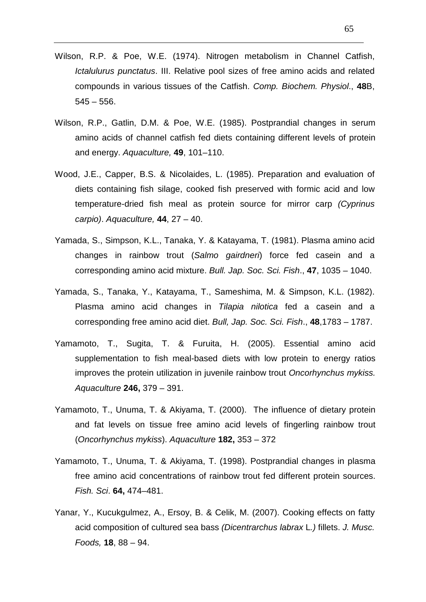- Wilson, R.P. & Poe, W.E. (1974). Nitrogen metabolism in Channel Catfish, Ictalulurus punctatus. III. Relative pool sizes of free amino acids and related compounds in various tissues of the Catfish. Comp. Biochem. Physiol., **48**B,  $545 - 556$ .
- Wilson, R.P., Gatlin, D.M. & Poe, W.E. (1985). Postprandial changes in serum amino acids of channel catfish fed diets containing different levels of protein and energy. Aquaculture, **49**, 101–110.
- Wood, J.E., Capper, B.S. & Nicolaides, L. (1985). Preparation and evaluation of diets containing fish silage, cooked fish preserved with formic acid and low temperature-dried fish meal as protein source for mirror carp (Cyprinus carpio). Aquaculture, **44**, 27 – 40.
- Yamada, S., Simpson, K.L., Tanaka, Y. & Katayama, T. (1981). Plasma amino acid changes in rainbow trout (Salmo gairdneri) force fed casein and a corresponding amino acid mixture. Bull. Jap. Soc. Sci. Fish., **47**, 1035 – 1040.
- Yamada, S., Tanaka, Y., Katayama, T., Sameshima, M. & Simpson, K.L. (1982). Plasma amino acid changes in Tilapia nilotica fed a casein and a corresponding free amino acid diet. Bull, Jap. Soc. Sci. Fish., **48**,1783 – 1787.
- Yamamoto, T., Sugita, T. & Furuita, H. (2005). Essential amino acid supplementation to fish meal-based diets with low protein to energy ratios improves the protein utilization in juvenile rainbow trout Oncorhynchus mykiss. Aquaculture **246,** 379 – 391.
- Yamamoto, T., Unuma, T. & Akiyama, T. (2000). The influence of dietary protein and fat levels on tissue free amino acid levels of fingerling rainbow trout (Oncorhynchus mykiss). Aquaculture **182,** 353 – 372
- Yamamoto, T., Unuma, T. & Akiyama, T. (1998). Postprandial changes in plasma free amino acid concentrations of rainbow trout fed different protein sources. Fish. Sci. **64,** 474–481.
- Yanar, Y., Kucukgulmez, A., Ersoy, B. & Celik, M. (2007). Cooking effects on fatty acid composition of cultured sea bass (Dicentrarchus labrax L.) fillets. J. Musc. Foods, **18**, 88 – 94.